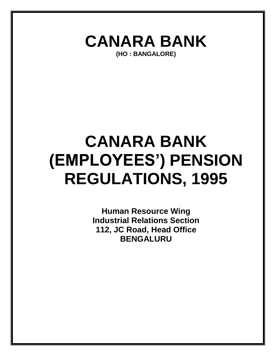

# **CANARA BANK (EMPLOYEES') PENSION REGULATIONS, 1995**

**Human Resource Wing Industrial Relations Section 112, JC Road, Head Office BENGALURU**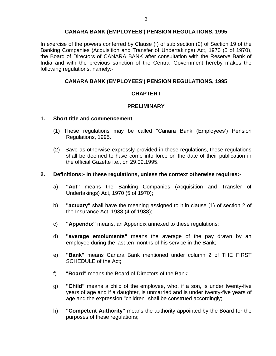# **CANARA BANK (EMPLOYEES') PENSION REGULATIONS, 1995**

In exercise of the powers conferred by Clause (f) of sub section (2) of Section 19 of the Banking Companies (Acquisition and Transfer of Undertakings) Act, 1970 (5 of 1970), the Board of Directors of CANARA BANK after consultation with the Reserve Bank of India and with the previous sanction of the Central Government hereby makes the following regulations, namely:-

# **CANARA BANK (EMPLOYEES') PENSION REGULATIONS, 1995**

# **CHAPTER I**

# **PRELIMINARY**

#### **1. Short title and commencement –**

- (1) These regulations may be called "Canara Bank (Employees') Pension Regulations, 1995.
- (2) Save as otherwise expressly provided in these regulations, these regulations shall be deemed to have come into force on the date of their publication in the official Gazette i.e., on 29.09.1995.

#### **2. Definitions:- In these regulations, unless the context otherwise requires:-**

- a) **"Act"** means the Banking Companies (Acquisition and Transfer of Undertakings) Act, 1970 (5 of 1970);
- b) **"actuary"** shall have the meaning assigned to it in clause (1) of section 2 of the Insurance Act, 1938 (4 of 1938);
- c) **"Appendix"** means, an Appendix annexed to these regulations;
- d) **"average emoluments"** means the average of the pay drawn by an employee during the last ten months of his service in the Bank;
- e) **"Bank"** means Canara Bank mentioned under column 2 of THE FIRST SCHEDULE of the Act:
- f) **"Board"** means the Board of Directors of the Bank;
- g) **"Child"** means a child of the employee, who, if a son, is under twenty-five years of age and if a daughter, is unmarried and is under twenty-five years of age and the expression "children" shall be construed accordingly;
- h) **"Competent Authority"** means the authority appointed by the Board for the purposes of these regulations;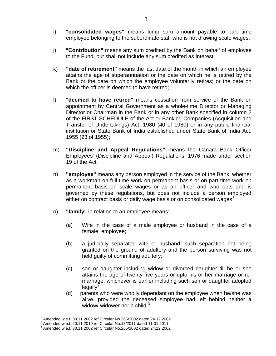- i) **"consolidated wages"** means lump sum amount payable to part time employee belonging to the subordinate staff who is not drawing scale wages;
- j) **"Contribution"** means any sum credited by the Bank on behalf of employee to the Fund, but shall not include any sum credited as interest;
- k) **"date of retirement"** means the last date of the month in which an employee attains the age of superannuation or the date on which he is retired by the Bank or the date on which the employee voluntarily retires; or the date on which the officer is deemed to have retired;
- l) **"deemed to have retired"** means cessation from service of the Bank on appointment by Central Government as a whole-time Director or Managing Director or Chairman in the Bank or in any other Bank specified in column 2 of the FIRST SCHEDULE of the Act or Banking Companies (Acquisition and Transfer of Undertakings) Act, 1980 (40 of 1980) or in any public financial institution or State Bank of India established under State Bank of India Act, 1955 (23 of 1955);
- m) **"Discipline and Appeal Regulations"** means the Canara Bank Officer Employees' (Discipline and Appeal) Regulations, 1976 made under section 19 of the Act;
- n) **"employee"** means any person employed in the service of the Bank, whether as a workman on full time work on permanent basis or on part-time work on permanent basis on scale wages or as an officer and who opts and is governed by these regulations, but does not include a person employed either on contract basis or daily wage basis or on consolidated wages<sup>1</sup>;
- o) **"family"** in relation to an employee means:-
	- (a) Wife in the case of a male employee or husband in the case of a female employee;
	- (b) a judicially separated wife or husband, such separation not being granted on the ground of adultery and the person surviving was not held guilty of committing adultery;
	- (c) son or daughter including widow or divorced daughter till he or she attains the age of twenty five years or upto his or her marriage or remarriage, whichever is earlier including such son or daughter adopted legally $^2$ .
	- (d) parents who were wholly dependant on the employee when he/she was alive, provided the deceased employee had left behind neither a widow/ widower nor a child. $3$

 $\overline{a}$ 1 Amended w.e.f. 30.11.2002 ref Circular No.265/2002 dated 24.12.2002

<sup>&</sup>lt;sup>2</sup> Amended w.e.f. 20.11.2010 ref Circular No.13/2011 dated 11.01.2011

<sup>3</sup> Amended w.e.f. 30.11.2002 ref Circular No.265/2002 dated 24.12.2002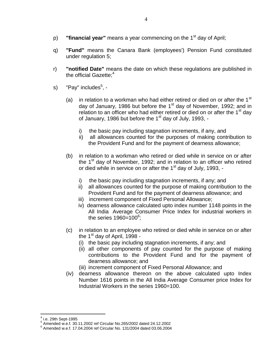- p) **"financial year"** means a year commencing on the 1<sup>st</sup> day of April;
- q) **"Fund"** means the Canara Bank (employees') Pension Fund constituted under regulation 5;
- r) **"notified Date"** means the date on which these regulations are published in the official Gazette: $4$
- s) "Pay" includes<sup>5</sup>, -
	- (a) in relation to a workman who had either retired or died on or after the 1<sup>st</sup> day of January, 1986 but before the  $1<sup>st</sup>$  day of November, 1992; and in relation to an officer who had either retired or died on or after the  $1<sup>st</sup>$  day of January, 1986 but before the 1<sup>st</sup> day of July, 1993,
		- i) the basic pay including stagnation increments, if any, and
		- ii) all allowances counted for the purposes of making contribution to the Provident Fund and for the payment of dearness allowance;
	- (b) in relation to a workman who retired or died while in service on or after the  $1<sup>st</sup>$  day of November, 1992; and in relation to an officer who retired or died while in service on or after the 1<sup>st</sup> day of July, 1993,
		- i) the basic pay including stagnation increments, if any; and
		- ii) all allowances counted for the purpose of making contribution to the Provident Fund and for the payment of dearness allowance; and
		- iii) increment component of Fixed Personal Allowance;
		- iv) dearness allowance calculated upto index number 1148 points in the All India Average Consumer Price Index for industrial workers in the series  $1960 = 100^6$ ;
	- (c) in relation to an employee who retired or died while in service on or after the  $1<sup>st</sup>$  day of April, 1998 -
		- (i) the basic pay including stagnation increments, if any; and
		- (ii) all other components of pay counted for the purpose of making contributions to the Provident Fund and for the payment of dearness allowance; and
		- (iii) increment component of Fixed Personal Allowance; and
	- (iv) dearness allowance thereon on the above calculated upto Index Number 1616 points in the All India Average Consumer price Index for Industrial Workers in the series 1960=100.

 $\overline{a}$ 4 i.e. 29th Sept-1995

<sup>5</sup> Amended w.e.f. 30.11.2002 ref Circular No.265/2002 dated 24.12.2002

<sup>6</sup> Amended w.e.f. 17.04.2004 ref Circular No. 131/2004 dated 03.06.2004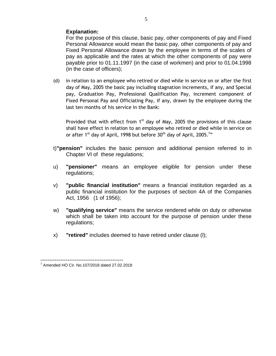# **Explanation:**

For the purpose of this clause, basic pay, other components of pay and Fixed Personal Allowance would mean the basic pay, other components of pay and Fixed Personal Allowance drawn by the employee in terms of the scales of pay as applicable and the rates at which the other components of pay were payable prior to 01.11.1997 (in the case of workmen) and prior to 01.04.1998 (in the case of officers);

(d) in relation to an employee who retired or died while in service on or after the first day of May, 2005 the basic pay including stagnation increments, if any, and Special pay, Graduation Pay, Professional Qualification Pay, increment component of Fixed Personal Pay and Officiating Pay, if any, drawn by the employee during the last ten months of his service in the Bank:

Provided that with effect from  $1<sup>st</sup>$  day of May, 2005 the provisions of this clause shall have effect in relation to an employee who retired or died while in service on or after 1<sup>st</sup> day of April, 1998 but before  $30<sup>th</sup>$  day of April, 2005.<sup>7</sup>"

- t)**"pension"** includes the basic pension and additional pension referred to in Chapter VI of these regulations;
- u) **"pensioner"** means an employee eligible for pension under these regulations;
- v) **"public financial institution"** means a financial institution regarded as a public financial institution for the purposes of section 4A of the Companies Act, 1956 (1 of 1956);
- w) **"qualifying service"** means the service rendered while on duty or otherwise which shall be taken into account for the purpose of pension under these regulations;
- x) **"retired"** includes deemed to have retired under clause (l);

5

<sup>----------------------------------------------</sup> 7 Amended HO Cir. No.107/2018 dated 27.02.2018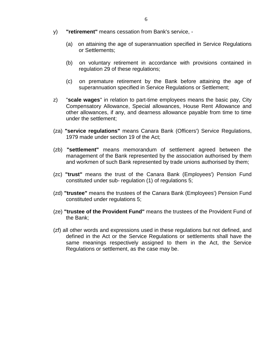- y) **"retirement"** means cessation from Bank's service,
	- (a) on attaining the age of superannuation specified in Service Regulations or Settlements;
	- (b) on voluntary retirement in accordance with provisions contained in regulation 29 of these regulations;
	- (c) on premature retirement by the Bank before attaining the age of superannuation specified in Service Regulations or Settlement;
- z) "**scale wages**" in relation to part-time employees means the basic pay, City Compensatory Allowance, Special allowances, House Rent Allowance and other allowances, if any, and dearness allowance payable from time to time under the settlement;
- (za) **"service regulations"** means Canara Bank (Officers') Service Regulations, 1979 made under section 19 of the Act;
- (zb) **"settlement"** means memorandum of settlement agreed between the management of the Bank represented by the association authorised by them and workmen of such Bank represented by trade unions authorised by them;
- (zc) **"trust"** means the trust of the Canara Bank (Employees') Pension Fund constituted under sub- regulation (1) of regulations 5;
- (zd) **"trustee"** means the trustees of the Canara Bank (Employees') Pension Fund constituted under regulations 5;
- (ze) **"trustee of the Provident Fund"** means the trustees of the Provident Fund of the Bank;
- (zf) all other words and expressions used in these regulations but not defined, and defined in the Act or the Service Regulations or settlements shall have the same meanings respectively assigned to them in the Act, the Service Regulations or settlement, as the case may be.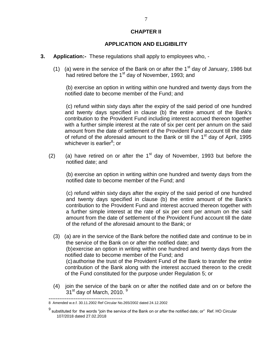# **CHAPTER II**

#### **APPLICATION AND ELIGIBILITY**

- **3. Application:-** These regulations shall apply to employees who,
	- (1) (a) were in the service of the Bank on or after the  $1<sup>st</sup>$  day of January, 1986 but had retired before the 1<sup>st</sup> day of November, 1993; and

(b) exercise an option in writing within one hundred and twenty days from the notified date to become member of the Fund; and

(c) refund within sixty days after the expiry of the said period of one hundred and twenty days specified in clause (b) the entire amount of the Bank's contribution to the Provident Fund including interest accrued thereon together with a further simple interest at the rate of six per cent per annum on the said amount from the date of settlement of the Provident Fund account till the date of refund of the aforesaid amount to the Bank or till the  $1<sup>st</sup>$  day of April, 1995 whichever is earlier<sup>8</sup>; or

(2) (a) have retired on or after the  $1<sup>st</sup>$  day of November, 1993 but before the notified date; and

 (b) exercise an option in writing within one hundred and twenty days from the notified date to become member of the Fund; and

 (c) refund within sixty days after the expiry of the said period of one hundred and twenty days specified in clause (b) the entire amount of the Bank's contribution to the Provident Fund and interest accrued thereon together with a further simple interest at the rate of six per cent per annum on the said amount from the date of settlement of the Provident Fund account till the date of the refund of the aforesaid amount to the Bank; or

- (3) (a) are in the service of the Bank before the notified date and continue to be in the service of the Bank on or after the notified date; and (b)exercise an option in writing within one hundred and twenty days from the notified date to become member of the Fund; and (c)authorise the trust of the Provident Fund of the Bank to transfer the entire contribution of the Bank along with the interest accrued thereon to the credit of the Fund constituted for the purpose under Regulation 5; or
- (4) join the service of the bank on or after the notified date and on or before the  $31<sup>st</sup>$  day of March, 2010.  $9<sup>g</sup>$

<sup>-----------------------------------------</sup> 8 Amended w.e.f. 30.11.2002 Ref Circular No.265/2002 dated 24.12.2002

 $^9$  substituted for the words "join the service of the Bank on or after the notified date; or" Ref. HO Circular 107/2018 dated 27.02.2018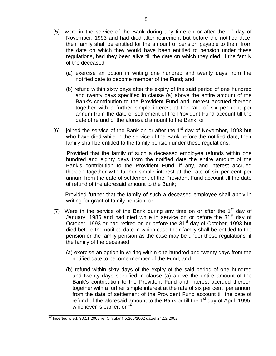- (5) were in the service of the Bank during any time on or after the  $1<sup>st</sup>$  day of November, 1993 and had died after retirement but before the notified date, their family shall be entitled for the amount of pension payable to them from the date on which they would have been entitled to pension under these regulations, had they been alive till the date on which they died, if the family of the deceased –
	- (a) exercise an option in writing one hundred and twenty days from the notified date to become member of the Fund; and
	- (b) refund within sixty days after the expiry of the said period of one hundred and twenty days specified in clause (a) above the entire amount of the Bank's contribution to the Provident Fund and interest accrued thereon together with a further simple interest at the rate of six per cent per annum from the date of settlement of the Provident Fund account till the date of refund of the aforesaid amount to the Bank; or
- (6) joined the service of the Bank on or after the  $1<sup>st</sup>$  day of November, 1993 but who have died while in the service of the Bank before the notified date, their family shall be entitled to the family pension under these regulations:

 Provided that the family of such a deceased employee refunds within one hundred and eighty days from the notified date the entire amount of the Bank's contribution to the Provident Fund, if any, and interest accrued thereon together with further simple interest at the rate of six per cent per annum from the date of settlement of the Provident Fund account till the date of refund of the aforesaid amount to the Bank;

 Provided further that the family of such a deceased employee shall apply in writing for grant of family pension; or

- (7) Were in the service of the Bank during any time on or after the  $1<sup>st</sup>$  day of January, 1986 and had died while in service on or before the 31<sup>st</sup> day of October, 1993 or had retired on or before the 31<sup>st</sup> day of October, 1993 but died before the notified date in which case their family shall be entitled to the pension or the family pension as the case may be under these regulations, if the family of the deceased,
	- (a) exercise an option in writing within one hundred and twenty days from the notified date to become member of the Fund; and
	- (b) refund within sixty days of the expiry of the said period of one hundred and twenty days specified in clause (a) above the entire amount of the Bank's contribution to the Provident Fund and interest accrued thereon together with a further simple interest at the rate of six per cent per annum from the date of settlement of the Provident Fund account till the date of refund of the aforesaid amount to the Bank or till the  $1<sup>st</sup>$  day of April, 1995, whichever is earlier; or  $10<sup>-10</sup>$

\_\_\_\_\_\_\_\_\_\_\_\_\_\_\_\_\_\_\_\_\_\_\_\_\_\_\_\_\_\_\_\_\_\_

<sup>10</sup> Inserted w.e.f. 30.11.2002 ref Circular No.265/2002 dated 24.12.2002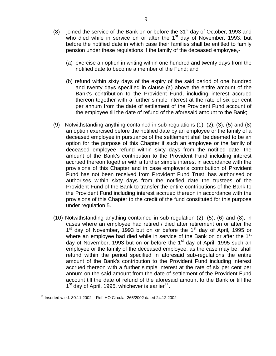- (8) joined the service of the Bank on or before the  $31<sup>st</sup>$  day of October, 1993 and who died while in service on or after the  $1<sup>st</sup>$  day of November, 1993, but before the notified date in which case their families shall be entitled to family pension under these regulations if the family of the deceased employee,-
	- (a) exercise an option in writing within one hundred and twenty days from the notified date to become a member of the Fund; and
	- (b) refund within sixty days of the expiry of the said period of one hundred and twenty days specified in clause (a) above the entire amount of the Bank's contribution to the Provident Fund, including interest accrued thereon together with a further simple interest at the rate of six per cent per annum from the date of settlement of the Provident Fund account of the employee till the date of refund of the aforesaid amount to the Bank;
- (9) Notwithstanding anything contained in sub-regulations (1), (2), (3), (5) and (8) an option exercised before the notified date by an employee or the family of a deceased employee in pursuance of the settlement shall be deemed to be an option for the purpose of this Chapter if such an employee or the family of deceased employee refund within sixty days from the notified date, the amount of the Bank's contribution to the Provident Fund including interest accrued thereon together with a further simple interest in accordance with the provisions of this Chapter and in case employer's contribution of Provident Fund has not been received from Provident Fund Trust, has authorised or authorises within sixty days from the notified date the trustees of the Provident Fund of the Bank to transfer the entire contributions of the Bank to the Provident Fund including interest accrued thereon in accordance with the provisions of this Chapter to the credit of the fund constituted for this purpose under regulation 5.
- (10) Notwithstanding anything contained in sub-regulation (2), (5), (6) and (8), in cases where an employee had retired / died after retirement on or after the 1<sup>st</sup> day of November, 1993 but on or before the 1<sup>st</sup> day of April, 1995 or where an employee had died while in service of the Bank on or after the 1<sup>st</sup> day of November, 1993 but on or before the 1<sup>st</sup> day of April, 1995 such an employee or the family of the deceased employee, as the case may be, shall refund within the period specified in aforesaid sub-regulations the entire amount of the Bank's contribution to the Provident Fund including interest accrued thereon with a further simple interest at the rate of six per cent per annum on the said amount from the date of settlement of the Provident Fund account till the date of refund of the aforesaid amount to the Bank or till the 1<sup>st</sup> day of April, 1995, whichever is earlier<sup>11</sup>.

\_\_\_\_\_\_\_\_\_\_\_\_\_\_\_\_\_\_\_\_  $11$  Inserted w.e.f. 30.11.2002 – Ref. HO Circular 265/2002 dated 24.12.2002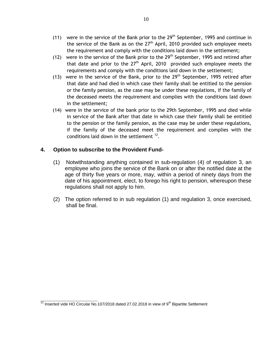- (11)were in the service of the Bank prior to the 29th September, 1995 and continue in the service of the Bank as on the 27<sup>th</sup> April, 2010 provided such employee meets the requirement and comply with the conditions laid down in the settlement;
- (12) were in the service of the Bank prior to the 29<sup>th</sup> September, 1995 and retired after that date and prior to the  $27<sup>th</sup>$  April, 2010 provided such employee meets the requirements and comply with the conditions laid down in the settlement;
- (13) were in the service of the Bank, prior to the  $29<sup>th</sup>$  September, 1995 retired after that date and had died in which case their family shall be entitled to the pension or the family pension, as the case may be under these regulations, if the family of the deceased meets the requirement and complies with the conditions laid down in the settlement;
- (14) were in the service of the bank prior to the 29th September, 1995 and died while in service of the Bank after that date in which case their family shall be entitled to the pension or the family pension, as the case may be under these regulations, if the family of the deceased meet the requirement and complies with the conditions laid down in the settlement  $12$ .

# **4. Option to subscribe to the Provident Fund-**

- (1) Notwithstanding anything contained in sub-regulation (4) of regulation 3, an employee who joins the service of the Bank on or after the notified date at the age of thirty five years or more, may, within a period of ninety days from the date of his appointment, elect, to forego his right to pension, whereupon these regulations shall not apply to him.
- (2) The option referred to in sub regulation (1) and regulation 3, once exercised, shall be final.

**\_\_\_\_\_\_\_\_\_\_\_\_\_\_\_\_\_\_\_** <sup>12</sup> Inserted vide HO Circular No.107/2018 dated 27.02.2018 in view of 9<sup>th</sup> Bipartite Settlement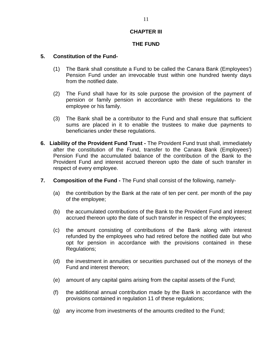# **CHAPTER III**

# **THE FUND**

#### **5. Constitution of the Fund-**

- (1) The Bank shall constitute a Fund to be called the Canara Bank (Employees') Pension Fund under an irrevocable trust within one hundred twenty days from the notified date.
- (2) The Fund shall have for its sole purpose the provision of the payment of pension or family pension in accordance with these regulations to the employee or his family.
- (3) The Bank shall be a contributor to the Fund and shall ensure that sufficient sums are placed in it to enable the trustees to make due payments to beneficiaries under these regulations.
- **6. Liability of the Provident Fund Trust -** The Provident Fund trust shall, immediately after the constitution of the Fund, transfer to the Canara Bank (Employees') Pension Fund the accumulated balance of the contribution of the Bank to the Provident Fund and interest accrued thereon upto the date of such transfer in respect of every employee.
- **7. Composition of the Fund -** The Fund shall consist of the following, namely-
	- (a) the contribution by the Bank at the rate of ten per cent. per month of the pay of the employee;
	- (b) the accumulated contributions of the Bank to the Provident Fund and interest accrued thereon upto the date of such transfer in respect of the employees;
	- (c) the amount consisting of contributions of the Bank along with interest refunded by the employees who had retired before the notified date but who opt for pension in accordance with the provisions contained in these Regulations;
	- (d) the investment in annuities or securities purchased out of the moneys of the Fund and interest thereon;
	- (e) amount of any capital gains arising from the capital assets of the Fund;
	- (f) the additional annual contribution made by the Bank in accordance with the provisions contained in regulation 11 of these regulations;
	- (g) any income from investments of the amounts credited to the Fund;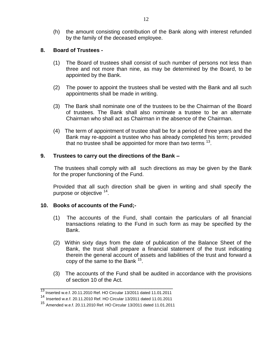(h) the amount consisting contribution of the Bank along with interest refunded by the family of the deceased employee.

# **8. Board of Trustees -**

- (1) The Board of trustees shall consist of such number of persons not less than three and not more than nine, as may be determined by the Board, to be appointed by the Bank.
- (2) The power to appoint the trustees shall be vested with the Bank and all such appointments shall be made in writing.
- (3) The Bank shall nominate one of the trustees to be the Chairman of the Board of trustees. The Bank shall also nominate a trustee to be an alternate Chairman who shall act as Chairman in the absence of the Chairman.
- (4) The term of appointment of trustee shall be for a period of three years and the Bank may re-appoint a trustee who has already completed his term; provided that no trustee shall be appointed for more than two terms  $^{13}$ .

# **9. Trustees to carry out the directions of the Bank –**

The trustees shall comply with all such directions as may be given by the Bank for the proper functioning of the Fund.

Provided that all such direction shall be given in writing and shall specify the purpose or objective <sup>14</sup>.

# **10. Books of accounts of the Fund;-**

- (1) The accounts of the Fund, shall contain the particulars of all financial transactions relating to the Fund in such form as may be specified by the Bank.
- (2) Within sixty days from the date of publication of the Balance Sheet of the Bank, the trust shall prepare a financial statement of the trust indicating therein the general account of assets and liabilities of the trust and forward a copy of the same to the Bank  $15$ .
- (3) The accounts of the Fund shall be audited in accordance with the provisions of section 10 of the Act.

\_\_\_\_\_\_\_\_\_\_\_\_\_\_\_\_\_\_\_\_\_\_\_\_\_\_\_\_\_\_\_\_\_\_\_\_\_\_\_\_\_\_\_\_ 13 Inserted w.e.f. 20.11.2010 Ref. HO Circular 13/2011 dated 11.01.2011

<sup>14</sup> Inserted w.e.f. 20.11.2010 Ref. HO Circular 13/2011 dated 11.01.2011

<sup>15</sup> Amended w.e.f. 20.11.2010 Ref. HO Circular 13/2011 dated 11.01.2011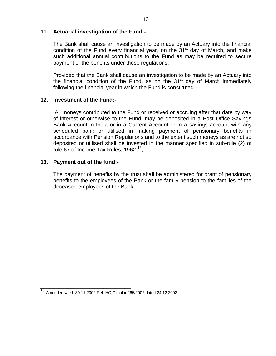#### **11. Actuarial investigation of the Fund:-**

The Bank shall cause an investigation to be made by an Actuary into the financial condition of the Fund every financial year, on the  $31<sup>st</sup>$  day of March, and make such additional annual contributions to the Fund as may be required to secure payment of the benefits under these regulations.

Provided that the Bank shall cause an investigation to be made by an Actuary into the financial condition of the Fund, as on the  $31<sup>st</sup>$  day of March immediately following the financial year in which the Fund is constituted.

# **12. Investment of the Fund:-**

All moneys contributed to the Fund or received or accruing after that date by way of interest or otherwise to the Fund, may be deposited in a Post Office Savings Bank Account in India or in a Current Account or in a savings account with any scheduled bank or utilised in making payment of pensionary benefits in accordance with Pension Regulations and to the extent such moneys as are not so deposited or utilised shall be invested in the manner specified in sub-rule (2) of rule 67 of Income Tax Rules, 1962.<sup>16</sup>;

# **13. Payment out of the fund:-**

The payment of benefits by the trust shall be administered for grant of pensionary benefits to the employees of the Bank or the family pension to the families of the deceased employees of the Bank.

**\_\_\_\_\_\_\_\_\_\_\_\_\_\_\_\_\_\_\_\_\_\_\_\_\_\_\_\_\_\_**

<sup>16</sup> Amended w.e.f. 30.11.2002 Ref. HO Circular 265/2002 dated 24.12.2002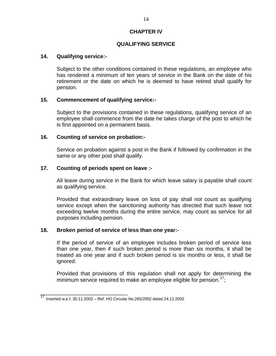# **CHAPTER IV**

# **QUALIFYING SERVICE**

#### **14. Qualifying service:-**

Subject to the other conditions contained in these regulations, an employee who has rendered a minimum of ten years of service in the Bank on the date of his retirement or the date on which he is deemed to have retired shall qualify for pension.

#### **15. Commencement of qualifying service:-**

Subject to the provisions contained in these regulations, qualifying service of an employee shall commence from the date he takes charge of the post to which he is first appointed on a permanent basis.

#### **16. Counting of service on probation:-**

Service on probation against a post in the Bank if followed by confirmation in the same or any other post shall qualify.

#### **17. Counting of periods spent on leave :-**

All leave during service in the Bank for which leave salary is payable shall count as qualifying service.

Provided that extraordinary leave on loss of pay shall not count as qualifying service except when the sanctioning authority has directed that such leave not exceeding twelve months during the entire service, may count as service for all purposes including pension.

#### **18. Broken period of service of less than one year:-**

If the period of service of an employee includes broken period of service less than one year, then if such broken period is more than six months, it shall be treated as one year and if such broken period is six months or less, it shall be ignored.

Provided that provisions of this regulation shall not apply for determining the minimum service required to make an employee eligible for pension.<sup>17</sup>;

\_\_\_\_\_\_\_\_\_\_\_\_\_\_\_\_\_\_\_\_\_\_\_\_\_\_\_\_\_

<sup>17</sup> Inserted w.e.f. 30.11.2002 – Ref. HO Circular No.265/2002 dated 24.12.2002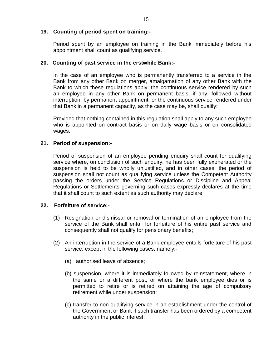#### **19. Counting of period spent on training:-**

Period spent by an employee on training in the Bank immediately before his appointment shall count as qualifying service.

#### **20. Counting of past service in the erstwhile Bank:-**

In the case of an employee who is permanently transferred to a service in the Bank from any other Bank on merger, amalgamation of any other Bank with the Bank to which these regulations apply, the continuous service rendered by such an employee in any other Bank on permanent basis, if any, followed without interruption, by permanent appointment, or the continuous service rendered under that Bank in a permanent capacity, as the case may be, shall qualify:

Provided that nothing contained in this regulation shall apply to any such employee who is appointed on contract basis or on daily wage basis or on consolidated wages.

# **21. Period of suspension:-**

Period of suspension of an employee pending enquiry shall count for qualifying service where, on conclusion of such enquiry, he has been fully exonerated or the suspension is held to be wholly unjustified, and in other cases, the period of suspension shall not count as qualifying service unless the Competent Authority passing the orders under the Service Regulations or Discipline and Appeal Regulations or Settlements governing such cases expressly declares at the time that it shall count to such extent as such authority may declare.

# **22. Forfeiture of service:-**

- (1) Resignation or dismissal or removal or termination of an employee from the service of the Bank shall entail for forfeiture of his entire past service and consequently shall not qualify for pensionary benefits;
- (2) An interruption in the service of a Bank employee entails forfeiture of his past service, except in the following cases, namely:-
	- (a) authorised leave of absence;
	- (b) suspension, where it is immediately followed by reinstatement, where in the same or a different post, or where the bank employee dies or is permitted to retire or is retired on attaining the age of compulsory retirement while under suspension;
	- (c) transfer to non-qualifying service in an establishment under the control of the Government or Bank if such transfer has been ordered by a competent authority in the public interest;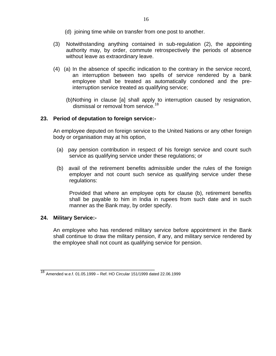- (d) joining time while on transfer from one post to another.
- (3) Notwithstanding anything contained in sub-regulation (2), the appointing authority may, by order, commute retrospectively the periods of absence without leave as extraordinary leave.
- (4) (a) In the absence of specific indication to the contrary in the service record, an interruption between two spells of service rendered by a bank employee shall be treated as automatically condoned and the preinterruption service treated as qualifying service;
	- (b)Nothing in clause [a] shall apply to interruption caused by resignation, dismissal or removal from service.<sup>18</sup>

# **23. Period of deputation to foreign service:-**

An employee deputed on foreign service to the United Nations or any other foreign body or organisation may at his option,

- (a) pay pension contribution in respect of his foreign service and count such service as qualifying service under these regulations; or
- (b) avail of the retirement benefits admissible under the rules of the foreign employer and not count such service as qualifying service under these regulations:

Provided that where an employee opts for clause (b), retirement benefits shall be payable to him in India in rupees from such date and in such manner as the Bank may, by order specify.

# **24. Military Service:-**

An employee who has rendered military service before appointment in the Bank shall continue to draw the military pension, if any, and military service rendered by the employee shall not count as qualifying service for pension.

\_\_\_\_\_\_\_\_\_\_\_\_\_\_\_\_\_\_\_\_\_\_\_\_\_\_\_\_\_\_\_\_\_\_\_\_\_\_

<sup>18</sup> Amended w.e.f. 01.05.1999 – Ref. HO Circular 151/1999 dated 22.06.1999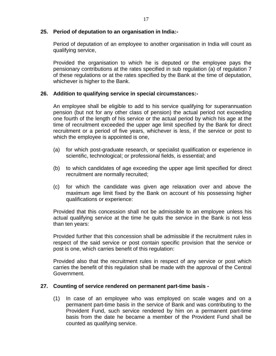#### **25. Period of deputation to an organisation in India:-**

Period of deputation of an employee to another organisation in India will count as qualifying service,

Provided the organisation to which he is deputed or the employee pays the pensionary contributions at the rates specified in sub regulation (a) of regulation 7 of these regulations or at the rates specified by the Bank at the time of deputation, whichever is higher to the Bank.

#### **26. Addition to qualifying service in special circumstances:-**

An employee shall be eligible to add to his service qualifying for superannuation pension (but not for any other class of pension) the actual period not exceeding one fourth of the length of his service or the actual period by which his age at the time of recruitment exceeded the upper age limit specified by the Bank for direct recruitment or a period of five years, whichever is less, if the service or post to which the employee is appointed is one,

- (a) for which post-graduate research, or specialist qualification or experience in scientific, technological; or professional fields, is essential; and
- (b) to which candidates of age exceeding the upper age limit specified for direct recruitment are normally recruited;
- (c) for which the candidate was given age relaxation over and above the maximum age limit fixed by the Bank on account of his possessing higher qualifications or experience:

Provided that this concession shall not be admissible to an employee unless his actual qualifying service at the time he quits the service in the Bank is not less than ten years:

Provided further that this concession shall be admissible if the recruitment rules in respect of the said service or post contain specific provision that the service or post is one, which carries benefit of this regulation:

Provided also that the recruitment rules in respect of any service or post which carries the benefit of this regulation shall be made with the approval of the Central Government.

#### **27. Counting of service rendered on permanent part-time basis -**

(1) In case of an employee who was employed on scale wages and on a permanent part-time basis in the service of Bank and was contributing to the Provident Fund, such service rendered by him on a permanent part-time basis from the date he became a member of the Provident Fund shall be counted as qualifying service.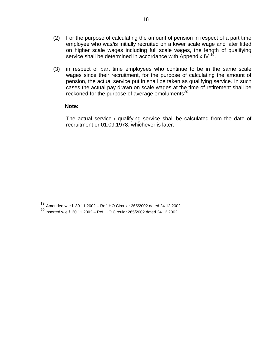- (2) For the purpose of calculating the amount of pension in respect of a part time employee who was/is initially recruited on a lower scale wage and later fitted on higher scale wages including full scale wages, the length of qualifying service shall be determined in accordance with Appendix IV  $^{19}$ .
- (3) in respect of part time employees who continue to be in the same scale wages since their recruitment, for the purpose of calculating the amount of pension, the actual service put in shall be taken as qualifying service. In such cases the actual pay drawn on scale wages at the time of retirement shall be reckoned for the purpose of average emoluments $^{20}$ .

#### **Note:**

\_\_\_\_\_\_\_\_\_\_\_\_\_\_\_\_\_\_\_\_\_\_\_\_\_\_\_

The actual service / qualifying service shall be calculated from the date of recruitment or 01.09.1978, whichever is later.

<sup>19</sup> Amended w.e.f. 30.11.2002 – Ref. HO Circular 265/2002 dated 24.12.2002

<sup>20&</sup>lt;br><sup>20</sup> Inserted w.e.f. 30.11.2002 – Ref. HO Circular 265/2002 dated 24.12.2002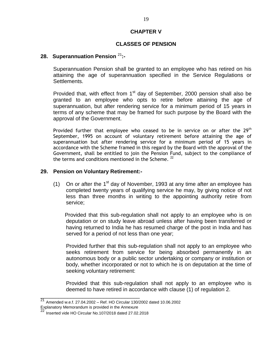#### **CHAPTER V**

# **CLASSES OF PENSION**

#### **28. Superannuation Pension** <sup>21</sup>**:-**

Superannuation Pension shall be granted to an employee who has retired on his attaining the age of superannuation specified in the Service Regulations or Settlements.

Provided that, with effect from 1<sup>st</sup> day of September, 2000 pension shall also be granted to an employee who opts to retire before attaining the age of superannuation, but after rendering service for a minimum period of 15 years in terms of any scheme that may be framed for such purpose by the Board with the approval of the Government.

Provided further that employee who ceased to be in service on or after the  $29<sup>th</sup>$ September, 1995 on account of voluntary retirement before attaining the age of superannuation but after rendering service for a minimum period of 15 years in accordance with the Scheme framed in this regard by the Board with the approval of the Government, shall be entitled to join the Pension Fund, subject to the compliance of the terms and conditions mentioned in the Scheme.<sup>22</sup>

#### **29. Pension on Voluntary Retirement:-**

(1) On or after the  $1<sup>st</sup>$  day of November, 1993 at any time after an employee has completed twenty years of qualifying service he may, by giving notice of not less than three months in writing to the appointing authority retire from service;

Provided that this sub-regulation shall not apply to an employee who is on deputation or on study leave abroad unless after having been transferred or having returned to India he has resumed charge of the post in India and has served for a period of not less than one year;

Provided further that this sub-regulation shall not apply to an employee who seeks retirement from service for being absorbed permanently in an autonomous body or a public sector undertaking or company or institution or body, whether incorporated or not to which he is on deputation at the time of seeking voluntary retirement:

Provided that this sub-regulation shall not apply to an employee who is deemed to have retired in accordance with clause (1) of regulation 2.

\_\_\_\_\_\_\_\_\_\_\_\_\_\_\_\_\_\_\_\_\_\_\_\_\_\_\_\_\_\_\_\_\_

 $\frac{21}{21}$  Amended w.e.f. 27.04.2002 – Ref. HO Circular 130/2002 dated 10.06.2002

Explanatory Memorandum is provided in the Annexure

<sup>22</sup> Inserted vide HO Circular No.107/2018 dated 27.02.2018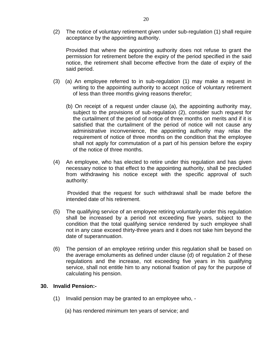(2) The notice of voluntary retirement given under sub-regulation (1) shall require acceptance by the appointing authority.

Provided that where the appointing authority does not refuse to grant the permission for retirement before the expiry of the period specified in the said notice, the retirement shall become effective from the date of expiry of the said period.

- (3) (a) An employee referred to in sub-regulation (1) may make a request in writing to the appointing authority to accept notice of voluntary retirement of less than three months giving reasons therefor;
	- (b) On receipt of a request under clause (a), the appointing authority may, subject to the provisions of sub-regulation (2), consider such request for the curtailment of the period of notice of three months on merits and if it is satisfied that the curtailment of the period of notice will not cause any administrative inconvenience, the appointing authority may relax the requirement of notice of three months on the condition that the employee shall not apply for commutation of a part of his pension before the expiry of the notice of three months.
- (4) An employee, who has elected to retire under this regulation and has given necessary notice to that effect to the appointing authority, shall be precluded from withdrawing his notice except with the specific approval of such authority:

Provided that the request for such withdrawal shall be made before the intended date of his retirement.

- (5) The qualifying service of an employee retiring voluntarily under this regulation shall be increased by a period not exceeding five years, subject to the condition that the total qualifying service rendered by such employee shall not in any case exceed thirty-three years and it does not take him beyond the date of superannuation.
- (6) The pension of an employee retiring under this regulation shall be based on the average emoluments as defined under clause (d) of regulation 2 of these regulations and the increase, not exceeding five years in his qualifying service, shall not entitle him to any notional fixation of pay for the purpose of calculating his pension.

#### **30. Invalid Pension:-**

- (1) Invalid pension may be granted to an employee who,
	- (a) has rendered minimum ten years of service; and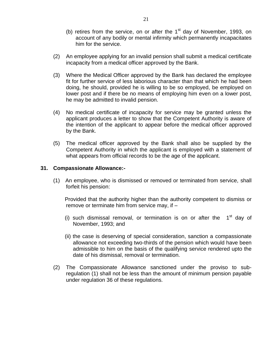- (b) retires from the service, on or after the  $1<sup>st</sup>$  day of November, 1993, on account of any bodily or mental infirmity which permanently incapacitates him for the service.
- (2) An employee applying for an invalid pension shall submit a medical certificate incapacity from a medical officer approved by the Bank.
- (3) Where the Medical Officer approved by the Bank has declared the employee fit for further service of less laborious character than that which he had been doing, he should, provided he is willing to be so employed, be employed on lower post and if there be no means of employing him even on a lower post, he may be admitted to invalid pension.
- (4) No medical certificate of incapacity for service may be granted unless the applicant produces a letter to show that the Competent Authority is aware of the intention of the applicant to appear before the medical officer approved by the Bank.
- (5) The medical officer approved by the Bank shall also be supplied by the Competent Authority in which the applicant is employed with a statement of what appears from official records to be the age of the applicant.

#### **31. Compassionate Allowance:-**

(1) An employee, who is dismissed or removed or terminated from service, shall forfeit his pension:

Provided that the authority higher than the authority competent to dismiss or remove or terminate him from service may, if –

- (i) such dismissal removal, or termination is on or after the  $1<sup>st</sup>$  day of November, 1993; and
- (ii) the case is deserving of special consideration, sanction a compassionate allowance not exceeding two-thirds of the pension which would have been admissible to him on the basis of the qualifying service rendered upto the date of his dismissal, removal or termination.
- (2) The Compassionate Allowance sanctioned under the proviso to subregulation (1) shall not be less than the amount of minimum pension payable under regulation 36 of these regulations.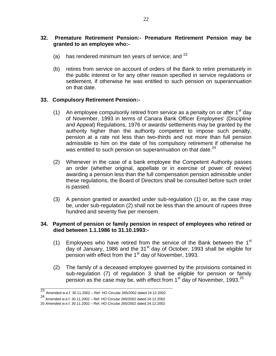# **32. Premature Retirement Pension:- Premature Retirement Pension may be granted to an employee who:-**

- (a) has rendered minimum ten years of service; and  $23$
- (b) retires from service on account of orders of the Bank to retire prematurely in the public interest or for any other reason specified in service regulations or settlement, if otherwise he was entitled to such pension on superannuation on that date.

# **33. Compulsory Retirement Pension:-**

- (1) An employee compulsorily retired from service as a penalty on or after  $1<sup>st</sup>$  day of November, 1993 in terms of Canara Bank Officer Employees' (Discipline and Appeal) Regulations, 1976 or awards/ settlements may be granted by the authority higher than the authority competent to impose such penalty, pension at a rate not less than two-thirds and not more than full pension admissible to him on the date of his compulsory retirement if otherwise he was entitled to such pension on superannuation on that date.<sup>24</sup>
- (2) Whenever in the case of a bank employee the Competent Authority passes an order (whether original, appellate or in exercise of power of review) awarding a pension less than the full compensation pension admissible under these regulations, the Board of Directors shall be consulted before such order is passed.
- (3) A pension granted or awarded under sub-regulation (1) or, as the case may be, under sub-regulation (2) shall not be less than the amount of rupees three hundred and seventy five per mensem.

# **34. Payment of pension or family pension in respect of employees who retired or died between 1.1.1986 to 31.10.1993:-**

- (1) Employees who have retired from the service of the Bank between the  $1<sup>st</sup>$ day of January, 1986 and the 31<sup>st</sup> day of October, 1993 shall be eligible for pension with effect from the 1<sup>st</sup> day of November, 1993.
- (2) The family of a deceased employee governed by the provisions contained in sub-regulation (7) of regulation 3 shall be eligible for pension or family pension as the case may be, with effect from  $1<sup>st</sup>$  day of November, 1993.<sup>25</sup>

**\_\_\_\_\_\_\_\_\_\_\_\_\_\_\_\_\_\_\_\_\_\_\_\_\_\_\_\_\_\_\_\_\_\_\_\_\_\_\_\_\_\_\_\_**

<sup>23</sup> Amended w.e.f. 30.11.2002 – Ref. HO Circular 265/2002 dated 24.12.2002

<sup>24</sup> Amended w.e.f. 30.11.2002 – Ref. HO Circular 265/2002 dated 24.12.2002

<sup>25</sup> Amended w.e.f. 30.11.2002 – Ref. HO Circular 265/2002 dated 24.12.2002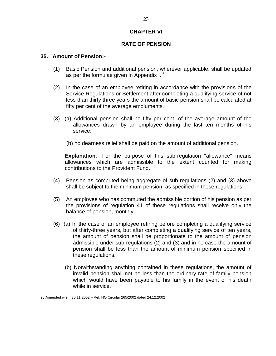# **CHAPTER VI**

# **RATE OF PENSION**

#### **35. Amount of Pension:-**

- (1) Basic Pension and additional pension, wherever applicable, shall be updated as per the formulae given in Appendix  $I^{26}$
- (2) In the case of an employee retiring in accordance with the provisions of the Service Regulations or Settlement after completing a qualifying service of not less than thirty three years the amount of basic pension shall be calculated at fifty per cent of the average emoluments.
- (3) (a) Additional pension shall be fifty per cent. of the average amount of the allowances drawn by an employee during the last ten months of his service;
	- (b) no dearness relief shall be paid on the amount of additional pension.

**Explanation:-** For the purpose of this sub-regulation "allowance" means allowances which are admissible to the extent counted for making contributions to the Provident Fund.

- (4) Pension as computed being aggregate of sub-regulations (2) and (3) above shall be subject to the minimum pension, as specified in these regulations.
- (5) An employee who has commuted the admissible portion of his pension as per the provisions of regulation 41 of these regulations shall receive only the balance of pension, monthly.
- (6) (a) In the case of an employee retiring before completing a qualifying service of thirty-three years, but after completing a qualifying service of ten years, the amount of pension shall be proportionate to the amount of pension admissible under sub-regulations (2) and (3) and in no case the amount of pension shall be less than the amount of minimum pension specified in these regulations.
	- (b) Notwithstanding anything contained in these regulations, the amount of invalid pension shall not be less than the ordinary rate of family pension which would have been payable to his family in the event of his death while in service.

\_\_\_\_\_\_\_\_\_\_\_\_\_\_\_\_\_\_\_\_\_\_\_\_\_\_\_\_\_\_\_\_\_\_\_\_

<sup>26</sup> Amended w.e.f. 30.11.2002 – Ref. HO Circular 265/2002 dated 24.12.2002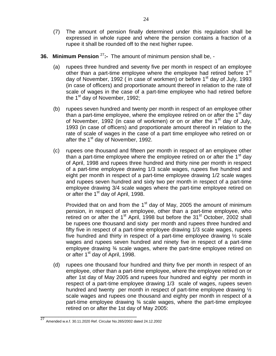- (7) The amount of pension finally determined under this regulation shall be expressed in whole rupee and where the pension contains a fraction of a rupee it shall be rounded off to the next higher rupee.
- **36. Minimum Pension** <sup>27</sup>:- The amount of minimum pension shall be, -
	- (a) rupees three hundred and seventy five per month in respect of an employee other than a part-time employee where the employee had retired before  $1<sup>st</sup>$ day of November, 1992 (in case of workmen) or before  $1<sup>st</sup>$  day of July, 1993 (in case of officers) and proportionate amount thereof in relation to the rate of scale of wages in the case of a part-time employee who had retired before the  $1<sup>st</sup>$  day of November, 1992;
	- (b) rupees seven hundred and twenty per month in respect of an employee other than a part-time employee, where the employee retired on or after the  $1<sup>st</sup>$  day of November, 1992 (in case of workmen) or on or after the 1<sup>st</sup> day of July, 1993 (in case of officers) and proportionate amount thereof in relation to the rate of scale of wages in the case of a part time employee who retired on or after the 1<sup>st</sup> day of November, 1992.
	- (c) rupees one thousand and fifteen per month in respect of an employee other than a part-time employee where the employee retired on or after the  $1<sup>st</sup>$  day of April, 1998 and rupees three hundred and thirty nine per month in respect of a part-time employee drawing 1/3 scale wages, rupees five hundred and eight per month in respect of a part-time employee drawing 1/2 scale wages and rupees seven hundred and sixty two per month in respect of a part-time employee drawing 3/4 scale wages where the part-time employee retired on or after the 1<sup>st</sup> day of April, 1998.

Provided that on and from the  $1<sup>st</sup>$  day of May, 2005 the amount of minimum pension, in respect of an employee, other than a part-time employee, who retired on or after the 1<sup>st</sup> April, 1998 but before the 31<sup>st</sup> October, 2002 shall be rupees one thousand and sixty per month and rupees three hundred and fifty five in respect of a part-time employee drawing 1/3 scale wages, rupees five hundred and thirty in respect of a part-time employee drawing  $\frac{1}{2}$  scale wages and rupees seven hundred and ninety five in respect of a part-time employee drawing ¾ scale wages, where the part-time employee retired on or after 1<sup>st</sup> day of April, 1998.

(d) rupees one thousand four hundred and thirty five per month in respect of an employee, other than a part-time employee, where the employee retired on or after 1st day of May 2005 and rupees four hundred and eighty per month in respect of a part-time employee drawing 1/3 scale of wages, rupees seven hundred and twenty per month in respect of part-time employee drawing  $\frac{1}{2}$ scale wages and rupees one thousand and eighty per month in respect of a part-time employee drawing ¾ scale wages, where the part-time employee retired on or after the 1st day of May 2005:

\_\_\_\_\_\_\_\_\_\_\_\_\_\_\_\_\_\_\_\_\_\_\_\_\_\_\_\_\_\_\_\_

<sup>27</sup> Amended w.e.f. 30.11.2020 Ref. Circular No.265/2002 dated 24.12.2002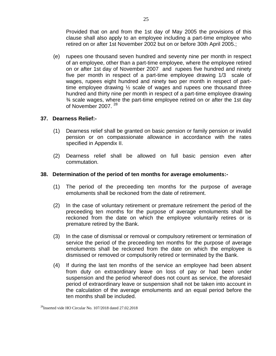Provided that on and from the 1st day of May 2005 the provisions of this clause shall also apply to an employee including a part-time employee who retired on or after 1st November 2002 but on or before 30th April 2005.;

(e) rupees one thousand seven hundred and seventy nine per month in respect of an employee, other than a part-time employee, where the employee retired on or after 1st day of November 2007 and rupees five hundred and ninety five per month in respect of a part-time employee drawing 1/3 scale of wages, rupees eight hundred and ninety two per month in respect of parttime employee drawing ½ scale of wages and rupees one thousand three hundred and thirty nine per month in respect of a part-time employee drawing ¾ scale wages, where the part-time employee retired on or after the 1st day of November 2007.<sup>28</sup>

# **37. Dearness Relief:-**

- (1) Dearness relief shall be granted on basic pension or family pension or invalid pension or on compassionate allowance in accordance with the rates specified in Appendix II.
- (2) Dearness relief shall be allowed on full basic pension even after commutation.

#### **38. Determination of the period of ten months for average emoluments:-**

- (1) The period of the preceeding ten months for the purpose of average emoluments shall be reckoned from the date of retirement.
- (2) In the case of voluntary retirement or premature retirement the period of the preceeding ten months for the purpose of average emoluments shall be reckoned from the date on which the employee voluntarily retires or is premature retired by the Bank.
- (3) In the case of dismissal or removal or compulsory retirement or termination of service the period of the preceeding ten months for the purpose of average emoluments shall be reckoned from the date on which the employee is dismissed or removed or compulsorily retired or terminated by the Bank.
- (4) If during the last ten months of the service an employee had been absent from duty on extraordinary leave on loss of pay or had been under suspension and the period whereof does not count as service, the aforesaid period of extraordinary leave or suspension shall not be taken into account in the calculation of the average emoluments and an equal period before the ten months shall be included.

<sup>28</sup>Inserted vide HO Circular No. 107/2018 dated 27.02.2018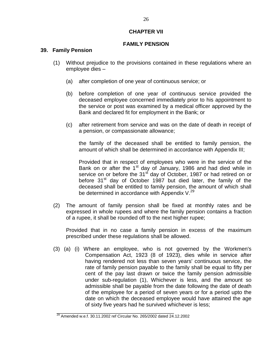# **CHAPTER VII**

# **FAMILY PENSION**

#### **39. Family Pension**

- (1) Without prejudice to the provisions contained in these regulations where an employee dies –
	- (a) after completion of one year of continuous service; or
	- (b) before completion of one year of continuous service provided the deceased employee concerned immediately prior to his appointment to the service or post was examined by a medical officer approved by the Bank and declared fit for employment in the Bank; or
	- (c) after retirement from service and was on the date of death in receipt of a pension, or compassionate allowance;

the family of the deceased shall be entitled to family pension, the amount of which shall be determined in accordance with Appendix III;

Provided that in respect of employees who were in the service of the Bank on or after the 1<sup>st</sup> day of January, 1986 and had died while in service on or before the 31 $\mathrm{s}^{\mathrm{f}}$  day of October, 1987 or had retired on or before 31<sup>st</sup> day of October 1987 but died later, the family of the deceased shall be entitled to family pension, the amount of which shall be determined in accordance with Appendix  $V^{29}$ 

(2) The amount of family pension shall be fixed at monthly rates and be expressed in whole rupees and where the family pension contains a fraction of a rupee, it shall be rounded off to the next higher rupee;

Provided that in no case a family pension in excess of the maximum prescribed under these regulations shall be allowed.

(3) (a) (i) Where an employee, who is not governed by the Workmen's Compensation Act, 1923 (8 of 1923), dies while in service after having rendered not less than seven years' continuous service, the rate of family pension payable to the family shall be equal to fifty per cent of the pay last drawn or twice the family pension admissible under sub-regulation (1), Whichever is less, and the amount so admissible shall be payable from the date following the date of death of the employee for a period of seven years or for a period upto the date on which the deceased employee would have attained the age of sixty five years had he survived whichever is less;

\_\_\_\_\_\_\_\_\_\_\_\_\_\_\_\_\_\_\_\_\_\_\_\_\_\_\_\_\_\_\_\_\_\_\_\_\_\_\_

 $^{29}$  Amended w.e.f. 30.11.2002 ref Circular No. 265/2002 dated 24.12.2002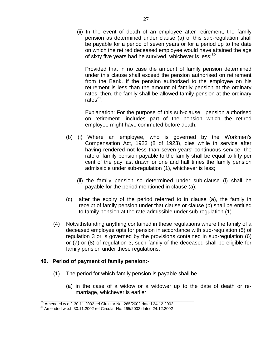(ii) In the event of death of an employee after retirement, the family pension as determined under clause (a) of this sub-regulation shall be payable for a period of seven years or for a period up to the date on which the retired deceased employee would have attained the age of sixty five years had he survived, whichever is less; $30$ 

Provided that in no case the amount of family pension determined under this clause shall exceed the pension authorised on retirement from the Bank. If the pension authorised to the employee on his retirement is less than the amount of family pension at the ordinary rates, then, the family shall be allowed family pension at the ordinary rates $^{31}$ .

Explanation: For the purpose of this sub-clause, "pension authorised on retirement" includes part of the pension which the retired employee might have commuted before death.

- (b) (i) Where an employee, who is governed by the Workmen's Compensation Act, 1923 (8 of 1923), dies while in service after having rendered not less than seven years' continuous service, the rate of family pension payable to the family shall be equal to fifty per cent of the pay last drawn or one and half times the family pension admissible under sub-regulation (1), whichever is less;
	- (ii) the family pension so determined under sub-clause (i) shall be payable for the period mentioned in clause (a);
- (c) after the expiry of the period referred to in clause (a), the family in receipt of family pension under that clause or clause (b) shall be entitled to family pension at the rate admissible under sub-regulation (1).
- (4) Notwithstanding anything contained in these regulations where the family of a deceased employee opts for pension in accordance with sub-regulation (5) of regulation 3 or is governed by the provisions contained in sub-regulation (6) or (7) or (8) of regulation 3, such family of the deceased shall be eligible for family pension under these regulations.

# **40. Period of payment of family pension:-**

- (1) The period for which family pension is payable shall be
	- (a) in the case of a widow or a widower up to the date of death or remarriage, whichever is earlier;

\_\_\_\_\_\_\_\_\_\_\_\_\_\_\_\_\_\_\_\_\_\_\_\_\_\_\_\_\_\_\_\_\_\_\_\_\_\_\_\_\_\_\_\_\_\_\_\_\_\_\_

 $^{30}$  Amended w.e.f. 30.11.2002 ref Circular No. 265/2002 dated 24.12.2002

 $31$  Amended w.e.f. 30.11.2002 ref Circular No. 265/2002 dated 24.12.2002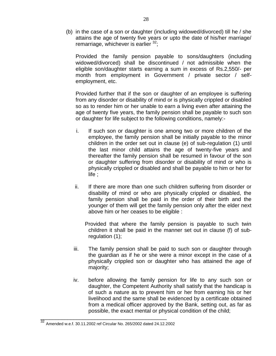(b) in the case of a son or daughter (including widowed/divorced) till he / she attains the age of twenty five years or upto the date of his/her marriage/ remarriage, whichever is earlier  $32$ ;

 Provided the family pension payable to sons/daughters (including widowed/divorced) shall be discontinued / not admissible when the eligible son/daughter starts earning a sum in excess of Rs.2,550/- per month from employment in Government / private sector / selfemployment, etc.

 Provided further that if the son or daughter of an employee is suffering from any disorder or disability of mind or is physically crippled or disabled so as to render him or her unable to earn a living even after attaining the age of twenty five years, the family pension shall be payable to such son or daughter for life subject to the following conditions, namely:-

- i. If such son or daughter is one among two or more children of the employee, the family pension shall be initially payable to the minor children in the order set out in clause (e) of sub-regulation (1) until the last minor child attains the age of twenty-five years and thereafter the family pension shall be resumed in favour of the son or daughter suffering from disorder or disability of mind or who is physically crippled or disabled and shall be payable to him or her for life ;
- ii. If there are more than one such children suffering from disorder or disability of mind or who are physically crippled or disabled, the family pension shall be paid in the order of their birth and the younger of them will get the family pension only after the elder next above him or her ceases to be eligible :

 Provided that where the family pension is payable to such twin children it shall be paid in the manner set out in clause (f) of subregulation (1);

- iii. The family pension shall be paid to such son or daughter through the guardian as if he or she were a minor except in the case of a physically crippled son or daughter who has attained the age of majority;
- iv. before allowing the family pension for life to any such son or daughter, the Competent Authority shall satisfy that the handicap is of such a nature as to prevent him or her from earning his or her livelihood and the same shall be evidenced by a certificate obtained from a medical officer approved by the Bank, setting out, as far as possible, the exact mental or physical condition of the child;

\_\_\_\_\_\_\_\_\_\_\_\_\_\_\_\_\_\_\_\_\_\_\_\_\_\_\_\_\_\_\_\_\_\_\_\_\_\_\_\_\_\_

<sup>32</sup> Amended w.e.f. 30.11.2002 ref Circular No. 265/2002 dated 24.12.2002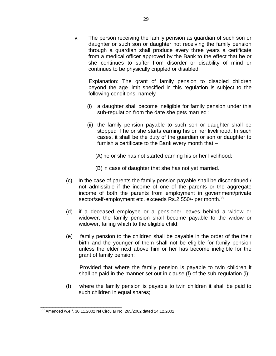v. The person receiving the family pension as guardian of such son or daughter or such son or daughter not receiving the family pension through a guardian shall produce every three years a certificate from a medical officer approved by the Bank to the effect that he or she continues to suffer from disorder or disability of mind or continues to be physically crippled or disabled.

Explanation: The grant of family pension to disabled children beyond the age limit specified in this regulation is subject to the following conditions, namely —

- (i) a daughter shall become ineligible for family pension under this sub-regulation from the date she gets married ;
- (ii) the family pension payable to such son or daughter shall be stopped if he or she starts earning his or her livelihood. In such cases, it shall be the duty of the guardian or son or daughter to furnish a certificate to the Bank every month that –
	- (A) he or she has not started earning his or her livelihood;
	- (B) in case of daughter that she has not yet married.
- (c) In the case of parents the family pension payable shall be discontinued / not admissible if the income of one of the parents or the aggregate income of both the parents from employment in government/private sector/self-employment etc. exceeds Rs.2,550/- per month.<sup>33</sup>
- (d) if a deceased employee or a pensioner leaves behind a widow or widower, the family pension shall become payable to the widow or widower, failing which to the eligible child;
- (e) family pension to the children shall be payable in the order of the their birth and the younger of them shall not be eligible for family pension unless the elder next above him or her has become ineligible for the grant of family pension;

 Provided that where the family pension is payable to twin children it shall be paid in the manner set out in clause (f) of the sub-regulation (i);

(f) where the family pension is payable to twin children it shall be paid to such children in equal shares;

\_\_\_\_\_\_\_\_\_\_\_\_\_\_\_\_\_\_\_\_\_\_\_\_\_\_\_

<sup>33</sup> Amended w.e.f. 30.11.2002 ref Circular No. 265/2002 dated 24.12.2002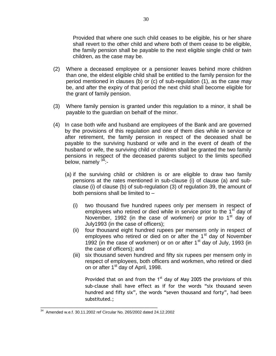Provided that where one such child ceases to be eligible, his or her share shall revert to the other child and where both of them cease to be eligible, the family pension shall be payable to the next eligible single child or twin children, as the case may be.

- (2) Where a deceased employee or a pensioner leaves behind more children than one, the eldest eligible child shall be entitled to the family pension for the period mentioned in clauses (b) or (c) of sub-regulation (1), as the case may be, and after the expiry of that period the next child shall become eligible for the grant of family pension.
- (3) Where family pension is granted under this regulation to a minor, it shall be payable to the guardian on behalf of the minor.
- (4) In case both wife and husband are employees of the Bank and are governed by the provisions of this regulation and one of them dies while in service or after retirement, the family pension in respect of the deceased shall be payable to the surviving husband or wife and in the event of death of the husband or wife, the surviving child or children shall be granted the two family pensions in respect of the deceased parents subject to the limits specified below, namely  $34$ :-
	- (a) if the surviving child or children is or are eligible to draw two family pensions at the rates mentioned in sub-clause (i) of clause (a) and subclause (i) of clause (b) of sub-regulation (3) of regulation 39, the amount of both pensions shall be limited to –
		- (i) two thousand five hundred rupees only per mensem in respect of employees who retired or died while in service prior to the  $1<sup>st</sup>$  day of November, 1992 (in the case of workmen) or prior to  $1<sup>st</sup>$  day of July1993 (in the case of officers);
		- (ii) four thousand eight hundred rupees per mensem only in respect of employees who retired or died on or after the 1<sup>st</sup> day of November 1992 (in the case of workmen) or on or after  $1<sup>st</sup>$  day of July, 1993 (in the case of officers); and
		- (iii) six thousand seven hundred and fifty six rupees per mensem only in respect of employees, both officers and workmen, who retired or died on or after 1st day of April, 1998.

Provided that on and from the  $1<sup>st</sup>$  day of May 2005 the provisions of this sub-clause shall have effect as if for the words "six thousand seven hundred and fifty six", the words "seven thousand and forty", had been substituted.;

\_\_\_\_\_\_\_\_\_\_\_\_\_\_\_\_\_\_\_\_\_\_\_\_\_\_\_\_\_\_\_\_\_\_\_\_\_\_\_\_\_\_\_\_\_

<sup>34</sup> Amended w.e.f. 30.11.2002 ref Circular No. 265/2002 dated 24.12.2002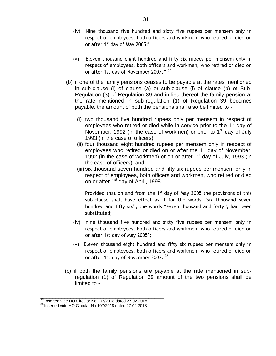- (iv) Nine thousand five hundred and sixty five rupees per mensem only in respect of employees, both officers and workmen, who retired or died on or after  $1<sup>st</sup>$  day of May 2005;'
- (v) Eleven thousand eight hundred and fifty six rupees per mensem only in respect of employees, both officers and workmen, who retired or died on or after 1st day of November 2007.**"** <sup>35</sup>
- (b) if one of the family pensions ceases to be payable at the rates mentioned in sub-clause (i) of clause (a) or sub-clause (i) of clause (b) of Sub-Regulation (3) of Regulation 39 and in lieu thereof the family pension at the rate mentioned in sub-regulation (1) of Regulation 39 becomes payable, the amount of both the pensions shall also be limited to -
	- (i) two thousand five hundred rupees only per mensem in respect of employees who retired or died while in service prior to the  $1<sup>st</sup>$  day of November, 1992 (in the case of workmen) or prior to  $1<sup>st</sup>$  day of July 1993 (in the case of officers);
	- (ii) four thousand eight hundred rupees per mensem only in respect of employees who retired or died on or after the  $1<sup>st</sup>$  day of November, 1992 (in the case of workmen) or on or after  $1<sup>st</sup>$  day of July, 1993 (in the case of officers); and
	- (iii) six thousand seven hundred and fifty six rupees per mensem only in respect of employees, both officers and workmen, who retired or died on or after 1<sup>st</sup> day of April, 1998.

Provided that on and from the  $1<sup>st</sup>$  day of May 2005 the provisions of this sub-clause shall have effect as if for the words "six thousand seven hundred and fifty six", the words "seven thousand and forty", had been substituted;

- (iv) nine thousand five hundred and sixty five rupees per mensem only in respect of employees, both officers and workmen, who retired or died on or after 1st day of May 2005';
- (v) Eleven thousand eight hundred and fifty six rupees per mensem only in respect of employees, both officers and workmen, who retired or died on or after 1st day of November 2007. <sup>36</sup>
- (c) if both the family pensions are payable at the rate mentioned in subregulation (1) of Regulation 39 amount of the two pensions shall be limited to -

\_\_\_\_\_\_\_\_\_\_\_\_\_\_\_\_\_\_\_\_\_\_\_\_\_\_\_\_\_\_\_\_\_\_\_\_\_\_\_\_\_

 $35$  Inserted vide HO Circular No.107/2018 dated 27.02.2018

<sup>&</sup>lt;sup>36</sup> Inserted vide HO Circular No.107/2018 dated 27.02.2018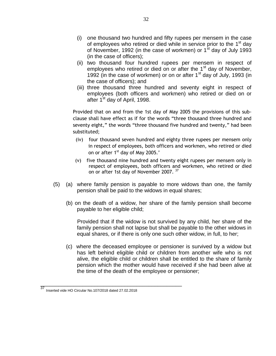- (i) one thousand two hundred and fifty rupees per mensem in the case of employees who retired or died while in service prior to the 1<sup>st</sup> day of November, 1992 (in the case of workmen) or  $1<sup>st</sup>$  day of July 1993 (in the case of officers);
- (ii) two thousand four hundred rupees per mensem in respect of employees who retired or died on or after the  $1<sup>st</sup>$  day of November, 1992 (in the case of workmen) or on or after  $1<sup>st</sup>$  day of July, 1993 (in the case of officers); and
- (iii) three thousand three hundred and seventy eight in respect of employees (both officers and workmen) who retired or died on or after 1<sup>st</sup> day of April, 1998.

Provided that on and from the 1st day of May 2005 the provisions of this subclause shall have effect as if for the words "three thousand three hundred and seventy eight," the words "three thousand five hundred and twenty," had been substituted;

- (iv) four thousand seven hundred and eighty three rupees per mensem only in respect of employees, both officers and workmen, who retired or died on or after 1<sup>st</sup> day of May 2005.'
- (v) five thousand nine hundred and twenty eight rupees per mensem only in respect of employees, both officers and workmen, who retired or died on or after 1st day of November 2007.<sup>37</sup>
- (5) (a) where family pension is payable to more widows than one, the family pension shall be paid to the widows in equal shares;
	- (b) on the death of a widow, her share of the family pension shall become payable to her eligible child;

Provided that if the widow is not survived by any child, her share of the family pension shall not lapse but shall be payable to the other widows in equal shares, or if there is only one such other widow, in full, to her;

(c) where the deceased employee or pensioner is survived by a widow but has left behind eligible child or children from another wife who is not alive, the eligible child or children shall be entitled to the share of family pension which the mother would have received if she had been alive at the time of the death of the employee or pensioner;

\_\_\_\_\_\_\_\_\_\_\_\_\_\_\_\_\_\_\_\_\_\_\_\_\_\_\_\_\_\_\_\_\_\_\_\_\_\_\_\_\_\_\_\_\_\_\_

<sup>37</sup> Inserted vide HO Circular No.107/2018 dated 27.02.2018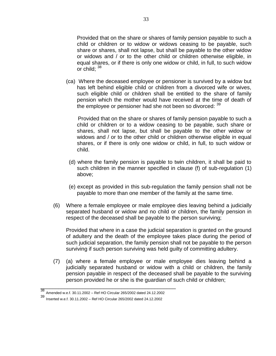Provided that on the share or shares of family pension payable to such a child or children or to widow or widows ceasing to be payable, such share or shares, shall not lapse, but shall be payable to the other widow or widows and / or to the other child or children otherwise eligible, in equal shares, or if there is only one widow or child, in full, to such widow or child; 38

(ca) Where the deceased employee or pensioner is survived by a widow but has left behind eligible child or children from a divorced wife or wives, such eligible child or children shall be entitled to the share of family pension which the mother would have received at the time of death of the employee or pensioner had she not been so divorced:  $39$ 

 Provided that on the share or shares of family pension payable to such a child or children or to a widow ceasing to be payable, such share or shares, shall not lapse, but shall be payable to the other widow or widows and / or to the other child or children otherwise eligible in equal shares, or if there is only one widow or child, in full, to such widow or child.

- (d) where the family pension is payable to twin children, it shall be paid to such children in the manner specified in clause (f) of sub-regulation (1) above;
- (e) except as provided in this sub-regulation the family pension shall not be payable to more than one member of the family at the same time.
- (6) Where a female employee or male employee dies leaving behind a judicially separated husband or widow and no child or children, the family pension in respect of the deceased shall be payable to the person surviving;

Provided that where in a case the judicial separation is granted on the ground of adultery and the death of the employee takes place during the period of such judicial separation, the family pension shall not be payable to the person surviving if such person surviving was held guilty of committing adultery.

(7) (a) where a female employee or male employee dies leaving behind a judicially separated husband or widow with a child or children, the family pension payable in respect of the deceased shall be payable to the surviving person provided he or she is the guardian of such child or children;

\_\_\_\_\_\_\_\_\_\_\_\_\_\_\_\_\_\_\_\_\_\_\_\_\_\_\_\_\_\_\_\_\_\_\_\_\_\_\_\_\_\_\_\_\_

<sup>38</sup> Amended w.e.f. 30.11.2002 – Ref HO Circular 265/2002 dated 24.12.2002

<sup>39</sup> Inserted w.e.f. 30.11.2002 – Ref HO Circular 265/2002 dated 24.12.2002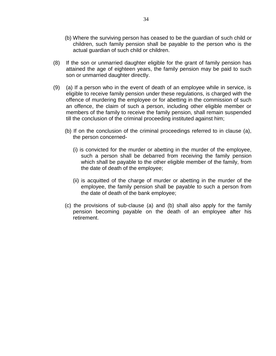- (b) Where the surviving person has ceased to be the guardian of such child or children, such family pension shall be payable to the person who is the actual guardian of such child or children.
- (8) If the son or unmarried daughter eligible for the grant of family pension has attained the age of eighteen years, the family pension may be paid to such son or unmarried daughter directly.
- (9) (a) If a person who in the event of death of an employee while in service, is eligible to receive family pension under these regulations, is charged with the offence of murdering the employee or for abetting in the commission of such an offence, the claim of such a person, including other eligible member or members of the family to receive the family pension, shall remain suspended till the conclusion of the criminal proceeding instituted against him;
	- (b) If on the conclusion of the criminal proceedings referred to in clause (a), the person concerned-
		- (i) is convicted for the murder or abetting in the murder of the employee, such a person shall be debarred from receiving the family pension which shall be payable to the other eligible member of the family, from the date of death of the employee;
		- (ii) is acquitted of the charge of murder or abetting in the murder of the employee, the family pension shall be payable to such a person from the date of death of the bank employee;
	- (c) the provisions of sub-clause (a) and (b) shall also apply for the family pension becoming payable on the death of an employee after his retirement.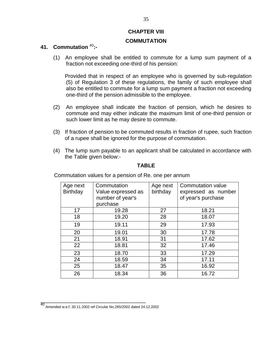# **CHAPTER VIII**

#### **COMMUTATION**

# **41. Commutation** <sup>40</sup> **:-**

(1) An employee shall be entitled to commute for a lump sum payment of a fraction not exceeding one-third of his pension:

Provided that in respect of an employee who is governed by sub-regulation (5) of Regulation 3 of these regulations, the family of such employee shall also be entitled to commute for a lump sum payment a fraction not exceeding one-third of the pension admissible to the employee.

- (2) An employee shall indicate the fraction of pension, which he desires to commute and may either indicate the maximum limit of one-third pension or such lower limit as he may desire to commute.
- (3) If fraction of pension to be commuted results in fraction of rupee, such fraction of a rupee shall be ignored for the purpose of commutation.
- (4) The lump sum payable to an applicant shall be calculated in accordance with the Table given below:-

# **TABLE**

| Age next | Commutation        | Age next | Commutation value   |
|----------|--------------------|----------|---------------------|
| Birthday | Value expressed as | birthday | expressed as number |
|          | number of year's   |          | of year's purchase  |
|          | purchase           |          |                     |
| 17       | 19.28              | 27       | 18.21               |
| 18       | 19.20              | 28       | 18.07               |
| 19       | 19.11              | 29       | 17.93               |
| 20       | 19.01              | 30       | 17.78               |
| 21       | 18.91              | 31       | 17.62               |
| 22       | 18.81              | 32       | 17.46               |
| 23       | 18.70              | 33       | 17.29               |
| 24       | 18.59              | 34       | 17.11               |
| 25       | 18.47              | 35       | 16.92               |
| 26       | 18.34              | 36       | 16.72               |

Commutation values for a pension of Re. one per annum

\_\_\_\_\_\_\_\_\_\_\_\_\_\_\_\_\_\_\_\_\_\_\_\_\_\_\_\_\_\_\_\_\_\_\_

<sup>40</sup> Amended w.e.f. 30.11.2002 ref Circular No.265/2002 dated 24.12.2002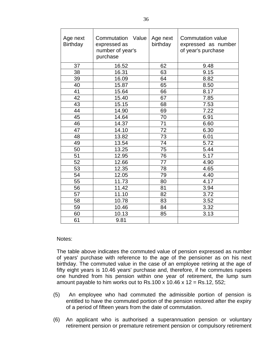| Age next<br><b>Birthday</b> | Commutation<br>Value<br>expressed as<br>number of year's<br>purchase | Age next<br>birthday | Commutation value<br>expressed as number<br>of year's purchase |
|-----------------------------|----------------------------------------------------------------------|----------------------|----------------------------------------------------------------|
| 37                          | 16.52                                                                | 62                   | 9.48                                                           |
| 38                          | 16.31                                                                | 63                   | 9.15                                                           |
| 39                          | 16.09                                                                | 64                   | 8.82                                                           |
| 40                          | 15.87                                                                | 65                   | 8.50                                                           |
| 41                          | 15.64                                                                | 66                   | 8.17                                                           |
| 42                          | 15.40                                                                | 67                   | 7.85                                                           |
| 43                          | 15.15                                                                | 68                   | 7.53                                                           |
| 44                          | 14.90                                                                | 69                   | 7.22                                                           |
| 45                          | 14.64                                                                | 70                   | 6.91                                                           |
| 46                          | 14.37                                                                | 71                   | 6.60                                                           |
| 47                          | 14.10                                                                | 72                   | 6.30                                                           |
| 48                          | 13.82                                                                | 73                   | 6.01                                                           |
| 49                          | 13.54                                                                | 74                   | 5.72                                                           |
| 50                          | 13.25                                                                | 75                   | 5.44                                                           |
| 51                          | 12.95                                                                | 76                   | 5.17                                                           |
| 52                          | 12.66                                                                | 77                   | 4.90                                                           |
| 53                          | 12.35                                                                | 78                   | 4.65                                                           |
| 54                          | 12.05                                                                | 79                   | 4.40                                                           |
| 55                          | 11.73                                                                | 80                   | 4.17                                                           |
| 56                          | 11.42                                                                | 81                   | 3.94                                                           |
| 57                          | 11.10                                                                | 82                   | 3.72                                                           |
| 58                          | 10.78                                                                | 83                   | 3.52                                                           |
| 59                          | 10.46                                                                | 84                   | 3.32                                                           |
| 60                          | 10.13                                                                | 85                   | 3.13                                                           |
| 61                          | 9.81                                                                 |                      |                                                                |

#### Notes:

The table above indicates the commuted value of pension expressed as number of years' purchase with reference to the age of the pensioner as on his next birthday. The commuted value in the case of an employee retiring at the age of fifty eight years is 10.46 years' purchase and, therefore, if he commutes rupees one hundred from his pension within one year of retirement, the lump sum amount payable to him works out to Rs.100 x 10.46 x 12 = Rs.12, 552;

- (5) An employee who had commuted the admissible portion of pension is entitled to have the commuted portion of the pension restored after the expiry of a period of fifteen years from the date of commutation.
- (6) An applicant who is authorised a superannuation pension or voluntary retirement pension or premature retirement pension or compulsory retirement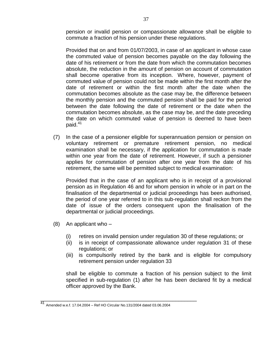pension or invalid pension or compassionate allowance shall be eligible to commute a fraction of his pension under these regulations.

Provided that on and from 01/07/2003, in case of an applicant in whose case the commuted value of pension becomes payable on the day following the date of his retirement or from the date from which the commutation becomes absolute, the reduction in the amount of pension on account of commutation shall become operative from its inception. Where, however, payment of commuted value of pension could not be made within the first month after the date of retirement or within the first month after the date when the commutation becomes absolute as the case may be, the difference between the monthly pension and the commuted pension shall be paid for the period between the date following the date of retirement or the date when the commutation becomes absolute, as the case may be, and the date preceding the date on which commuted value of pension is deemed to have been paid.<sup>41</sup>

(7) In the case of a pensioner eligible for superannuation pension or pension on voluntary retirement or premature retirement pension, no medical examination shall be necessary, if the application for commutation is made within one year from the date of retirement. However, if such a pensioner applies for commutation of pension after one year from the date of his retirement, the same will be permitted subject to medical examination:

Provided that in the case of an applicant who is in receipt of a provisional pension as in Regulation 46 and for whom pension in whole or in part on the finalisation of the departmental or judicial proceedings has been authorised, the period of one year referred to in this sub-regulation shall reckon from the date of issue of the orders consequent upon the finalisation of the departmental or judicial proceedings.

- (8) An applicant who
	- (i) retires on invalid pension under regulation 30 of these regulations; or
	- (ii) is in receipt of compassionate allowance under regulation 31 of these regulations; or
	- (iii) is compulsorily retired by the bank and is eligible for compulsory retirement pension under regulation 33

shall be eligible to commute a fraction of his pension subject to the limit specified in sub-regulation (1) after he has been declared fit by a medical officer approved by the Bank.

\_\_\_\_\_\_\_\_\_\_\_\_\_\_\_\_\_\_\_\_\_\_\_\_\_\_\_\_\_\_\_\_\_\_\_\_\_\_\_\_\_\_\_\_\_\_\_\_\_\_\_\_

<sup>41</sup> Amended w.e.f. 17.04.2004 – Ref HO Circular No.131/2004 dated 03.06.2004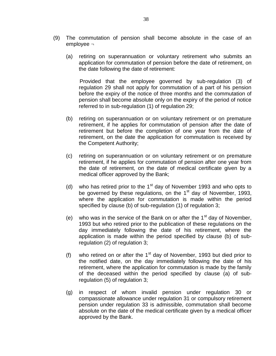- (9) The commutation of pension shall become absolute in the case of an employee ¬
	- (a) retiring on superannuation or voluntary retirement who submits an application for commutation of pension before the date of retirement, on the date following the date of retirement:

 Provided that the employee governed by sub-regulation (3) of regulation 29 shall not apply for commutation of a part of his pension before the expiry of the notice of three months and the commutation of pension shall become absolute only on the expiry of the period of notice referred to in sub-regulation (1) of regulation 29;

- (b) retiring on superannuation or on voluntary retirement or on premature retirement, if he applies for commutation of pension after the date of retirement but before the completion of one year from the date of retirement, on the date the application for commutation is received by the Competent Authority;
- (c) retiring on superannuation or on voluntary retirement or on premature retirement, if he applies for commutation of pension after one year from the date of retirement, on the date of medical certificate given by a medical officer approved by the Bank;
- (d) who has retired prior to the  $1<sup>st</sup>$  day of November 1993 and who opts to be governed by these regulations, on the  $1<sup>st</sup>$  day of November, 1993, where the application for commutation is made within the period specified by clause (b) of sub-regulation (1) of regulation 3;
- (e) who was in the service of the Bank on or after the  $1<sup>st</sup>$  day of November, 1993 but who retired prior to the publication of these regulations on the day immediately following the date of his retirement, where the application is made within the period specified by clause (b) of subregulation (2) of regulation 3;
- (f) who retired on or after the  $1<sup>st</sup>$  day of November, 1993 but died prior to the notified date, on the day immediately following the date of his retirement, where the application for commutation is made by the family of the deceased within the period specified by clause (a) of subregulation (5) of regulation 3;
- (g) in respect of whom invalid pension under regulation 30 or compassionate allowance under regulation 31 or compulsory retirement pension under regulation 33 is admissible, commutation shall become absolute on the date of the medical certificate given by a medical officer approved by the Bank.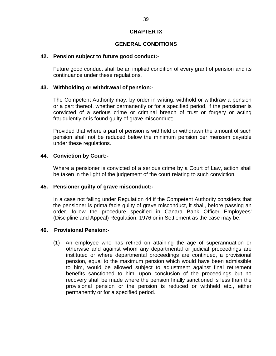# **CHAPTER IX**

# **GENERAL CONDITIONS**

#### **42. Pension subject to future good conduct:-**

Future good conduct shall be an implied condition of every grant of pension and its continuance under these regulations.

#### **43. Withholding or withdrawal of pension:-**

The Competent Authority may, by order in writing, withhold or withdraw a pension or a part thereof, whether permanently or for a specified period, if the pensioner is convicted of a serious crime or criminal breach of trust or forgery or acting fraudulently or is found guilty of grave misconduct;

Provided that where a part of pension is withheld or withdrawn the amount of such pension shall not be reduced below the minimum pension per mensem payable under these regulations.

#### **44. Conviction by Court:-**

Where a pensioner is convicted of a serious crime by a Court of Law, action shall be taken in the light of the judgement of the court relating to such conviction.

#### **45. Pensioner guilty of grave misconduct:-**

In a case not falling under Regulation 44 if the Competent Authority considers that the pensioner is prima facie guilty of grave misconduct, it shall, before passing an order, follow the procedure specified in Canara Bank Officer Employees' (Discipline and Appeal) Regulation, 1976 or in Settlement as the case may be.

#### **46. Provisional Pension:-**

(1) An employee who has retired on attaining the age of superannuation or otherwise and against whom any departmental or judicial proceedings are instituted or where departmental proceedings are continued, a provisional pension, equal to the maximum pension which would have been admissible to him, would be allowed subject to adjustment against final retirement benefits sanctioned to him, upon conclusion of the proceedings but no recovery shall be made where the pension finally sanctioned is less than the provisional pension or the pension is reduced or withheld etc., either permanently or for a specified period.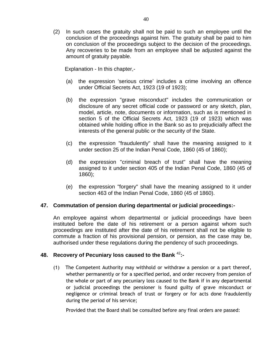(2) In such cases the gratuity shall not be paid to such an employee until the conclusion of the proceedings against him. The gratuity shall be paid to him on conclusion of the proceedings subject to the decision of the proceedings. Any recoveries to be made from an employee shall be adjusted against the amount of gratuity payable.

Explanation - In this chapter,-

- (a) the expression 'serious crime' includes a crime involving an offence under Official Secrets Act, 1923 (19 of 1923);
- (b) the expression "grave misconduct" includes the communication or disclosure of any secret official code or password or any sketch, plan, model, article, note, documents or information, such as is mentioned in section 5 of the Official Secrets Act, 1923 (19 of 1923) which was obtained while holding office in the Bank so as to prejudicially affect the interests of the general public or the security of the State.
- (c) the expression "fraudulently" shall have the meaning assigned to it under section 25 of the Indian Penal Code, 1860 (45 of 1860);
- (d) the expression "criminal breach of trust" shall have the meaning assigned to it under section 405 of the Indian Penal Code, 1860 (45 of 1860);
- (e) the expression "forgery" shall have the meaning assigned to it under section 463 of the Indian Penal Code, 1860 (45 of 1860).

# **47. Commutation of pension during departmental or judicial proceedings:-**

An employee against whom departmental or judicial proceedings have been instituted before the date of his retirement or a person against whom such proceedings are instituted after the date of his retirement shall not be eligible to commute a fraction of his provisional pension, or pension, as the case may be, authorised under these regulations during the pendency of such proceedings.

# **48. Recovery of Pecuniary loss caused to the Bank** <sup>42</sup>**:-**

(1) The Competent Authority may withhold or withdraw a pension or a part thereof, whether permanently or for a specified period, and order recovery from pension of the whole or part of any pecuniary loss caused to the Bank if in any departmental or judicial proceedings the pensioner is found guilty of grave misconduct or negligence or criminal breach of trust or forgery or for acts done fraudulently during the period of his service;

Provided that the Board shall be consulted before any final orders are passed: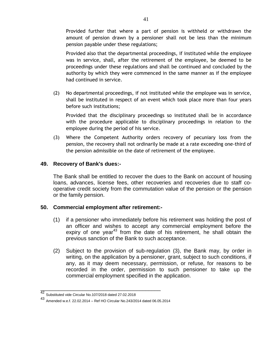Provided further that where a part of pension is withheld or withdrawn the amount of pension drawn by a pensioner shall not be less than the minimum pension payable under these regulations;

Provided also that the departmental proceedings, if instituted while the employee was in service, shall, after the retirement of the employee, be deemed to be proceedings under these regulations and shall be continued and concluded by the authority by which they were commenced in the same manner as if the employee had continued in service.

(2) No departmental proceedings, if not instituted while the employee was in service, shall be instituted in respect of an event which took place more than four years before such institutions;

Provided that the disciplinary proceedings so instituted shall be in accordance with the procedure applicable to disciplinary proceedings in relation to the employee during the period of his service.

(3) Where the Competent Authority orders recovery of pecuniary loss from the pension, the recovery shall not ordinarily be made at a rate exceeding one-third of the pension admissible on the date of retirement of the employee.

# **49. Recovery of Bank's dues:-**

The Bank shall be entitled to recover the dues to the Bank on account of housing loans, advances, license fees, other recoveries and recoveries due to staff cooperative credit society from the commutation value of the pension or the pension or the family pension.

# **50. Commercial employment after retirement:-**

- (1) if a pensioner who immediately before his retirement was holding the post of an officer and wishes to accept any commercial employment before the expiry of one year $43$  from the date of his retirement, he shall obtain the previous sanction of the Bank to such acceptance.
- (2) Subject to the provision of sub-regulation (3), the Bank may, by order in writing, on the application by a pensioner, grant, subject to such conditions, if any, as it may deem necessary, permission, or refuse, for reasons to be recorded in the order, permission to such pensioner to take up the commercial employment specified in the application.

\_\_\_\_\_\_\_\_\_\_\_\_\_\_\_\_\_\_\_\_\_\_\_\_\_\_\_\_\_\_\_\_\_\_\_\_\_\_\_\_

<sup>42</sup> Substituted vide Circular No.107/2018 dated 27.02.2018

<sup>43</sup> Amended w.e.f. 22.02.2014 – Ref HO Circular No.243/2014 dated 06.05.2014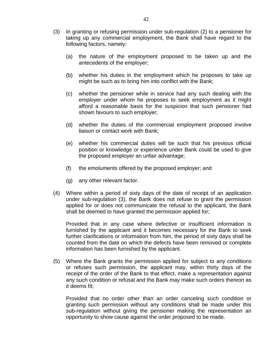- (3) In granting or refusing permission under sub-regulation (2) to a pensioner for taking up any commercial employment, the Bank shall have regard to the following factors, namely:
	- (a) the nature of the employment proposed to be taken up and the antecedents of the employer;
	- (b) whether his duties in the employment which he proposes to take up might be such as to bring him into conflict with the Bank;
	- (c) whether the pensioner while in service had any such dealing with the employer under whom he proposes to seek employment as it might afford a reasonable basis for the suspicion that such pensioner had shown favours to such employer;
	- (d) whether the duties of the commercial employment proposed involve liaison or contact work with Bank;
	- (e) whether his commercial duties will be such that his previous official position or knowledge or experience under Bank could be used to give the proposed employer an unfair advantage;
	- (f) the emoluments offered by the proposed employer; and
	- (g) any other relevant factor.
- (4) Where within a period of sixty days of the date of receipt of an application under sub-regulation (3), the Bank does not refuse to grant the permission applied for or does not communicate the refusal to the applicant, the Bank shall be deemed to have granted the permission applied for;

Provided that in any case where defective or insufficient information is furnished by the applicant and it becomes necessary for the Bank to seek further clarifications or information from him, the period of sixty days shall be counted from the date on which the defects have been removed or complete information has been furnished by the applicant.

(5) Where the Bank grants the permission applied for subject to any conditions or refuses such permission, the applicant may, within thirty days of the receipt of the order of the Bank to that effect, make a representation against any such condition or refusal and the Bank may make such orders thereon as it deems fit;

Provided that no order other than an order canceling such condition or granting such permission without any conditions shall be made under this sub-regulation without giving the pensioner making the representation an opportunity to show cause against the order proposed to be made.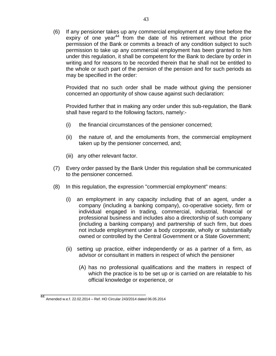(6) If any pensioner takes up any commercial employment at any time before the expiry of one year<sup>44</sup> from the date of his retirement without the prior permission of the Bank or commits a breach of any condition subject to such permission to take up any commercial employment has been granted to him under this regulation, it shall be competent for the Bank to declare by order in writing and for reasons to be recorded therein that he shall not be entitled to the whole or such part of the pension of the pension and for such periods as may be specified in the order:

Provided that no such order shall be made without giving the pensioner concerned an opportunity of show cause against such declaration:

Provided further that in making any order under this sub-regulation, the Bank shall have regard to the following factors, namely:-

- (i) the financial circumstances of the pensioner concerned;
- (ii) the nature of, and the emoluments from, the commercial employment taken up by the pensioner concerned, and;
- (iii) any other relevant factor.
- (7) Every order passed by the Bank Under this regulation shall be communicated to the pensioner concerned.
- (8) In this regulation, the expression "commercial employment" means:
	- (i) an employment in any capacity including that of an agent, under a company (including a banking company), co-operative society, firm or individual engaged in trading, commercial, industrial, financial or professional business and includes also a directorship of such company (including a banking company) and partnership of such firm, but does not include employment under a body corporate, wholly or substantially owned or controlled by the Central Government or a State Government;
	- (ii) setting up practice, either independently or as a partner of a firm, as advisor or consultant in matters in respect of which the pensioner
		- (A) has no professional qualifications and the matters in respect of which the practice is to be set up or is carried on are relatable to his official knowledge or experience, or

\_\_\_\_\_\_\_\_\_\_\_\_\_\_\_\_\_\_\_\_\_\_\_\_\_\_\_\_\_\_\_\_\_\_\_

<sup>44</sup> Amended w.e.f. 22.02.2014 – Ref. HO Circular 243/2014 dated 06.05.2014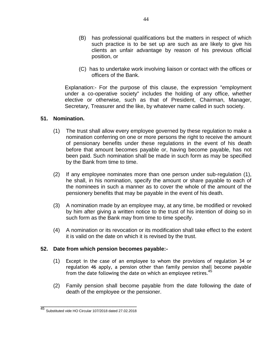- (B) has professional qualifications but the matters in respect of which such practice is to be set up are such as are likely to give his clients an unfair advantage by reason of his previous official position, or
- (C) has to undertake work involving liaison or contact with the offices or officers of the Bank.

Explanation:- For the purpose of this clause, the expression "employment under a co-operative society" includes the holding of any office, whether elective or otherwise, such as that of President, Chairman, Manager, Secretary, Treasurer and the like, by whatever name called in such society.

# **51. Nomination.**

- (1) The trust shall allow every employee governed by these regulation to make a nomination conferring on one or more persons the right to receive the amount of pensionary benefits under these regulations in the event of his death before that amount becomes payable or, having become payable, has not been paid. Such nomination shall be made in such form as may be specified by the Bank from time to time.
- (2) If any employee nominates more than one person under sub-regulation (1), he shall, in his nomination, specify the amount or share payable to each of the nominees in such a manner as to cover the whole of the amount of the pensionery benefits that may be payable in the event of his death.
- (3) A nomination made by an employee may, at any time, be modified or revoked by him after giving a written notice to the trust of his intention of doing so in such form as the Bank may from time to time specify.
- (4) A nomination or its revocation or its modification shall take effect to the extent it is valid on the date on which it is revised by the trust.

#### **52. Date from which pension becomes payable:-**

- (1) Except in the case of an employee to whom the provisions of regulation 34 or regulation 46 apply, a pension other than family pension shall become payable from the date following the date on which an employee retires.<sup>45</sup>
- (2) Family pension shall become payable from the date following the date of death of the employee or the pensioner.

\_\_\_\_\_\_\_\_\_\_\_\_\_\_\_\_\_\_\_\_\_\_\_\_\_\_\_\_\_\_\_\_ <sup>45</sup> Substituted vide HO Circular 107/2018 dated 27.02.2018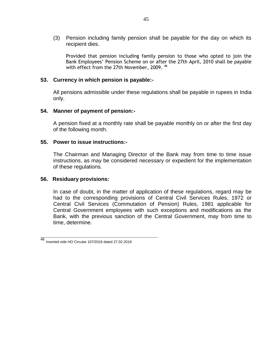(3) Pension including family pension shall be payable for the day on which its recipient dies.

Provided that pension including family pension to those who opted to join the Bank Employees' Pension Scheme on or after the 27th April, 2010 shall be payable with effect from the 27th November, 2009. 46

#### **53. Currency in which pension is payable:-**

All pensions admissible under these regulations shall be payable in rupees in India only.

#### **54. Manner of payment of pension:-**

A pension fixed at a monthly rate shall be payable monthly on or after the first day of the following month.

#### **55. Power to issue instructions:-**

The Chairman and Managing Director of the Bank may from time to time issue instructions, as may be considered necessary or expedient for the implementation of these regulations.

#### **56. Residuary provisions:**

In case of doubt, in the matter of application of these regulations, regard may be had to the corresponding provisions of Central Civil Services Rules, 1972 or Central Civil Services (Commutation of Pension) Rules, 1981 applicable for Central Government employees with such exceptions and modifications as the Bank, with the previous sanction of the Central Government, may from time to time, determine.

**\_\_\_\_\_\_\_\_\_\_\_\_\_\_\_\_\_\_\_\_\_\_\_\_\_\_\_\_\_\_\_\_\_\_\_\_\_\_\_**

<sup>46</sup> Inserted vide HO Circular 107/2018 dated 27.02.2018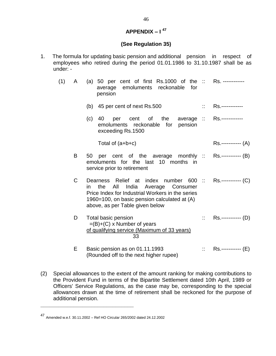# **APPENDIX – I 47**

# **(See Regulation 35)**

1. The formula for updating basic pension and additional pension in respect of employees who retired during the period 01.01.1986 to 31.10.1987 shall be as under: -

| (1) | A | (a) 50 per cent of first Rs.1000 of the $\therefore$<br>average emoluments reckonable<br>for<br>pension                                                                                                                                      |                                    | Rs. ------------          |
|-----|---|----------------------------------------------------------------------------------------------------------------------------------------------------------------------------------------------------------------------------------------------|------------------------------------|---------------------------|
|     |   | (b) 45 per cent of next Rs.500                                                                                                                                                                                                               | $\mathbb{Z}^2$                     | Rs.-------------          |
|     |   | (c)<br>per cent of the<br>40<br>emoluments reckonable for pension<br>exceeding Rs.1500                                                                                                                                                       |                                    | average :: Rs.----------- |
|     |   | Total of $(a+b+c)$                                                                                                                                                                                                                           |                                    | Rs.------------ (A)       |
|     | B | per cent of the average monthly :: Rs.----------- (B)<br>50<br>emoluments for the last 10 months in<br>service prior to retirement                                                                                                           |                                    |                           |
|     | C | Dearness Relief at index number 600 :: Rs.----------- (C)<br>All India Average Consumer<br>the<br>in.<br>Price Index for Industrial Workers in the series<br>1960=100, on basic pension calculated at (A)<br>above, as per Table given below |                                    |                           |
|     | D | Total basic pension<br>$=(B)+(C)$ x Number of years<br>of qualifying service (Maximum of 33 years)<br>33                                                                                                                                     | $\mathbb{Z}^{\mathbb{Z}^{\times}}$ | Rs.----------- (D)        |
|     | E | Basic pension as on 01.11.1993<br>(Rounded off to the next higher rupee)                                                                                                                                                                     |                                    | Rs.------------ (E)       |

(2) Special allowances to the extent of the amount ranking for making contributions to the Provident Fund in terms of the Bipartite Settlement dated 10th April, 1989 or Officers' Service Regulations, as the case may be, corresponding to the special allowances drawn at the time of retirement shall be reckoned for the purpose of additional pension.

**\_\_\_\_\_\_\_\_\_\_\_\_\_\_\_\_\_\_\_\_\_\_\_\_\_\_\_\_\_\_\_**

<sup>47</sup> Amended w.e.f. 30.11.2002 – Ref HO Circular 265/2002 dated 24.12.2002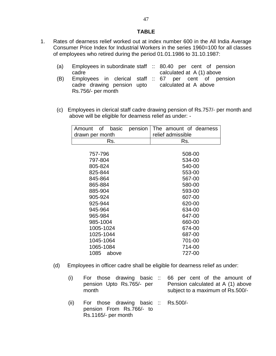#### **TABLE**

1. Rates of dearness relief worked out at index number 600 in the All India Average Consumer Price Index for Industrial Workers in the series 1960=100 for all classes of employees who retired during the period 01.01.1986 to 31.10.1987:

| (a) | Employees in subordinate staff :: 80.40 per cent of pension |  |  |  |                            |  |
|-----|-------------------------------------------------------------|--|--|--|----------------------------|--|
|     | cadre                                                       |  |  |  | calculated at $A(1)$ above |  |
| (B) | Employees in clerical staff :: 67 per cent of pension       |  |  |  |                            |  |

- cadre drawing pension upto Rs.756/- per month calculated at A above
- (c) Employees in clerical staff cadre drawing pension of Rs.757/- per month and above will be eligible for dearness relief as under: -

| of<br>basic<br>Amount | pension | The amount of dearness |  |  |  |
|-----------------------|---------|------------------------|--|--|--|
| drawn per month       |         | relief admissible      |  |  |  |
| Rs.                   |         | Rs.                    |  |  |  |
|                       |         |                        |  |  |  |
| 757-796               |         | 508-00                 |  |  |  |
| 797-804               |         | 534-00                 |  |  |  |
| 805-824               |         | 540-00                 |  |  |  |
| 825-844               |         | 553-00                 |  |  |  |
| 845-864               |         | 567-00                 |  |  |  |
| 865-884               |         | 580-00                 |  |  |  |
| 885-904               |         | 593-00                 |  |  |  |
| 905-924               |         | 607-00                 |  |  |  |
| 925-944               |         | 620-00                 |  |  |  |
| 945-964               |         | 634-00                 |  |  |  |
| 965-984               |         | 647-00                 |  |  |  |
| 985-1004              |         | 660-00                 |  |  |  |
| 1005-1024             |         | 674-00                 |  |  |  |
| 1025-1044             |         | 687-00                 |  |  |  |
| 1045-1064             |         | 701-00                 |  |  |  |
| 1065-1084             |         | 714-00                 |  |  |  |
| 1085<br>above         |         | 727-00                 |  |  |  |

- (d) Employees in officer cadre shall be eligible for dearness relief as under:
	- (i) For those drawing basic pension Upto Rs.765/- per month 66 per cent of the amount of Pension calculated at A (1) above subject to a maximum of Rs.500/-
	- (ii) For those drawing basic pension From Rs.766/- to Rs.1165/- per month Rs.500/-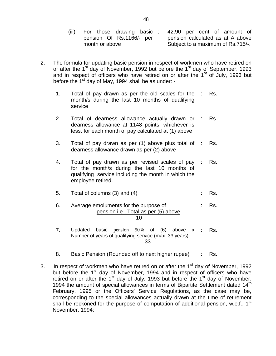- (iii) For those drawing basic :: pension Of Rs.1166/- per month or above :: 42.90 per cent of amount of pension calculated as at A above Subject to a maximum of Rs.715/-.
- 2. The formula for updating basic pension in respect of workmen who have retired on or after the 1<sup>st</sup> day of November, 1992 but before the 1<sup>st</sup> day of September, 1993 and in respect of officers who have retired on or after the  $1<sup>st</sup>$  of July, 1993 but before the 1<sup>st</sup> day of May, 1994 shall be as under:  $-$ 
	- 1. Total of pay drawn as per the old scales for the month/s during the last 10 months of qualifying service Rs.
	- 2. Total of dearness allowance actually drawn or dearness allowance at 1148 points, whichever is less, for each month of pay calculated at (1) above Rs.
	- 3. Total of pay drawn as per (1) above plus total of :: dearness allowance drawn as per (2) above Rs.
	- 4. Total of pay drawn as per revised scales of pay for the month/s during the last 10 months of qualifying service including the month in which the employee retired. Rs.
	- 5. Total of columns  $(3)$  and  $(4)$  :: Rs.
	- 6. Average emoluments for the purpose of pension i.e., Total as per (5) above 10 :: Rs.
	- 7. Updated basic pension 50% of (6) above x Number of years of qualifying service (max. 33 years) 33 and 2010 and 2010 and 2010 and 2010 and 2010 and 2010 and 2010 and 2010 and 2010 and 2010 and 2010 and 2010 Rs.
	- 8. Basic Pension (Rounded off to next higher rupee) :: Rs.
- 3. In respect of workmen who have retired on or after the  $1<sup>st</sup>$  day of November, 1992 but before the 1<sup>st</sup> day of November, 1994 and in respect of officers who have retired on or after the  $1<sup>st</sup>$  day of July, 1993 but before the  $1<sup>st</sup>$  day of November, 1994 the amount of special allowances in terms of Bipartite Settlement dated 14<sup>th</sup> February, 1995 or the Officers' Service Regulations, as the case may be, corresponding to the special allowances actually drawn at the time of retirement shall be reckoned for the purpose of computation of additional pension, w.e.f., 1<sup>st</sup> November, 1994: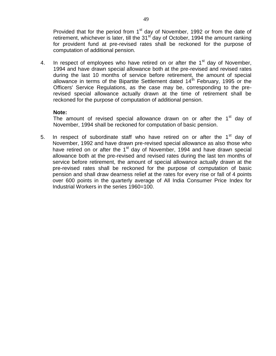Provided that for the period from  $1<sup>st</sup>$  day of November, 1992 or from the date of retirement, whichever is later, till the  $31<sup>st</sup>$  day of October, 1994 the amount ranking for provident fund at pre-revised rates shall be reckoned for the purpose of computation of additional pension.

4. In respect of employees who have retired on or after the  $1<sup>st</sup>$  day of November, 1994 and have drawn special allowance both at the pre-revised and revised rates during the last 10 months of service before retirement, the amount of special allowance in terms of the Bipartite Settlement dated  $14<sup>th</sup>$  February, 1995 or the Officers' Service Regulations, as the case may be, corresponding to the prerevised special allowance actually drawn at the time of retirement shall be reckoned for the purpose of computation of additional pension.

#### **Note:**

The amount of revised special allowance drawn on or after the 1<sup>st</sup> day of November, 1994 shall be reckoned for computation of basic pension.

5. In respect of subordinate staff who have retired on or after the  $1<sup>st</sup>$  day of November, 1992 and have drawn pre-revised special allowance as also those who have retired on or after the  $1<sup>st</sup>$  day of November, 1994 and have drawn special allowance both at the pre-revised and revised rates during the last ten months of service before retirement, the amount of special allowance actually drawn at the pre-revised rates shall be reckoned for the purpose of computation of basic pension and shall draw dearness relief at the rates for every rise or fall of 4 points over 600 points in the quarterly average of All India Consumer Price Index for Industrial Workers in the series 1960=100.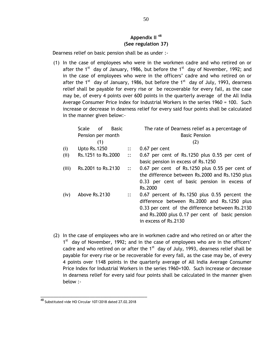# **Appendix II <sup>48</sup> (See regulation 37)**

Dearness relief on basic pension shall be as under :-

(1) In the case of employees who were in the workmen cadre and who retired on or after the 1<sup>st</sup> day of January, 1986, but before the 1<sup>st</sup> day of November, 1992; and in the case of employees who were in the officers' cadre and who retired on or after the 1<sup>st</sup> day of January, 1986, but before the 1<sup>st</sup> day of July, 1993, dearness relief shall be payable for every rise or be recoverable for every fall, as the case may be, of every 4 points over 600 points in the quarterly average of the All India Average Consumer Price Index for Industrial Workers in the series 1960 = 100. Such increase or decrease in dearness relief for every said four points shall be calculated in the manner given below:-

|       | Scale                | <b>of</b> | <b>Basic</b> |                        | The rate of Dearness relief as a percentage of     |
|-------|----------------------|-----------|--------------|------------------------|----------------------------------------------------|
|       | Pension per month    |           |              |                        | <b>Basic Pension</b>                               |
|       |                      | (1)       |              |                        | (2)                                                |
| (i)   | <b>Upto Rs. 1250</b> |           |              | $\ddots$               | 0.67 per cent                                      |
| (ii)  | Rs.1251 to Rs.2000   |           |              | $\ddots$               | $0.67$ per cent of Rs.1250 plus $0.55$ per cent of |
|       |                      |           |              |                        | basic pension in excess of Rs.1250                 |
| (iii) | Rs.2001 to Rs.2130   |           |              | $\mathbb{R}^{\bullet}$ | 0.67 per cent of Rs.1250 plus 0.55 per cent of     |
|       |                      |           |              |                        | the difference between Rs.2000 and Rs.1250 plus    |
|       |                      |           |              |                        | 0.33 per cent of basic pension in excess of        |
|       |                      |           |              |                        | Rs.2000                                            |
| (iv)  | Above Rs.2130        |           |              | $\ddots$               | 0.67 percent of Rs.1250 plus 0.55 percent the      |
|       |                      |           |              |                        | difference between Rs.2000 and Rs.1250 plus        |
|       |                      |           |              |                        | 0.33 per cent of the difference between Rs.2130    |
|       |                      |           |              |                        | and Rs.2000 plus 0.17 per cent of basic pension    |
|       |                      |           |              |                        | in excess of Rs.2130                               |

(2) In the case of employees who are in workmen cadre and who retired on or after the 1<sup>st</sup> day of November, 1992; and in the case of employees who are in the officers' cadre and who retired on or after the  $1<sup>st</sup>$  day of July, 1993, dearness relief shall be payable for every rise or be recoverable for every fall, as the case may be, of every 4 points over 1148 points in the quarterly average of All India Average Consumer Price Index for Industrial Workers in the series 1960=100. Such increase or decrease in dearness relief for every said four points shall be calculated in the manner given below :-

\_\_\_\_\_\_\_\_\_\_\_\_\_\_\_\_\_\_\_\_\_\_\_\_\_\_\_\_\_\_\_\_\_\_\_\_\_\_\_\_\_

 $^{48}$  Substituted vide HO Circular 107/2018 dated 27.02.2018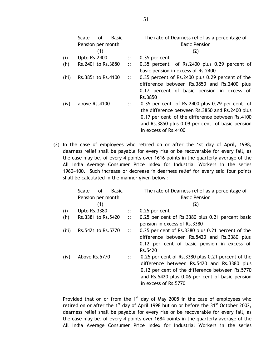|       | Scale<br>0f<br><b>Basic</b><br>Pension per month |                        | The rate of Dearness relief as a percentage of<br><b>Basic Pension</b>                                                                                                                                                               |
|-------|--------------------------------------------------|------------------------|--------------------------------------------------------------------------------------------------------------------------------------------------------------------------------------------------------------------------------------|
|       | (1)                                              |                        | (2)                                                                                                                                                                                                                                  |
| (i)   | <b>Upto Rs.2400</b>                              | $\ddots$               | $0.35$ per cent                                                                                                                                                                                                                      |
| (i)   | Rs.2401 to Rs.3850                               | $\ddots$               | 0.35 percent of Rs.2400 plus 0.29 percent of<br>basic pension in excess of Rs.2400                                                                                                                                                   |
| (iii) | Rs.3851 to Rs.4100                               | $\dddot{\mathbf{r}}$   | 0.35 percent of Rs.2400 plus 0.29 percent of the<br>difference between Rs.3850 and Rs.2400 plus<br>0.17 percent of basic pension in excess of<br>Rs.3850                                                                             |
| (iv)  | above Rs.4100                                    | $\mathbb{R}^{\bullet}$ | $0.35$ per cent of Rs. 2400 plus $0.29$ per cent of<br>the difference between Rs.3850 and Rs.2400 plus<br>0.17 per cent of the difference between Rs.4100<br>and Rs.3850 plus 0.09 per cent of basic pension<br>in excess of Rs.4100 |

(3) In the case of employees who retired on or after the 1st day of April, 1998, dearness relief shall be payable for every rise or be recoverable for every fall, as the case may be, of every 4 points over 1616 points in the quarterly average of the All India Average Consumer Price Index for Industrial Workers in the series 1960=100. Such increase or decrease in dearness relief for every said four points shall be calculated in the manner given below :-

|       | Scale<br>of         | <b>Basic</b> |          | The rate of Dearness relief as a percentage of                                                                                                                                                                                 |
|-------|---------------------|--------------|----------|--------------------------------------------------------------------------------------------------------------------------------------------------------------------------------------------------------------------------------|
|       | Pension per month   |              |          | <b>Basic Pension</b>                                                                                                                                                                                                           |
|       | (1)                 |              |          | (2)                                                                                                                                                                                                                            |
| (i)   | <b>Upto Rs.3380</b> |              | $\ddots$ | 0.25 per cent                                                                                                                                                                                                                  |
| (ii)  | Rs.3381 to Rs.5420  |              | $\ddots$ | 0.25 per cent of Rs.3380 plus 0.21 percent basic<br>pension in excess of Rs.3380                                                                                                                                               |
| (iii) | Rs.5421 to Rs.5770  |              | $\ddots$ | 0.25 per cent of Rs.3380 plus 0.21 percent of the<br>difference between Rs.5420 and Rs.3380 plus<br>0.12 per cent of basic pension in excess of<br>Rs.5420                                                                     |
| (iv)  | Above Rs.5770       |              | $\ddots$ | 0.25 per cent of Rs.3380 plus 0.21 percent of the<br>difference between Rs.5420 and Rs.3380 plus<br>0.12 per cent of the difference between Rs.5770<br>and Rs.5420 plus 0.06 per cent of basic pension<br>in excess of Rs.5770 |

Provided that on or from the  $1<sup>st</sup>$  day of May 2005 in the case of employees who retired on or after the 1<sup>st</sup> day of April 1998 but on or before the  $31<sup>st</sup>$  October 2002, dearness relief shall be payable for every rise or be recoverable for every fall, as the case may be, of every 4 points over 1684 points in the quarterly average of the All India Average Consumer Price Index for Industrial Workers in the series

51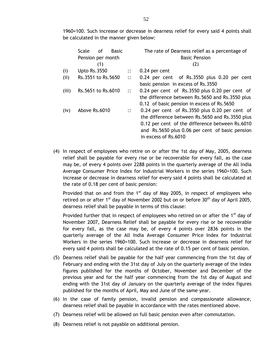1960=100. Such increase or decrease in dearness relief for every said 4 points shall be calculated in the manner given below:

|       | <b>Scale</b><br>οf<br><b>Basic</b> |          | The rate of Dearness relief as a percentage of                                                                                                                                                                                  |
|-------|------------------------------------|----------|---------------------------------------------------------------------------------------------------------------------------------------------------------------------------------------------------------------------------------|
|       | Pension per month                  |          | <b>Basic Pension</b>                                                                                                                                                                                                            |
|       | (1)                                |          | (2)                                                                                                                                                                                                                             |
| (i)   | <b>Upto Rs.3550</b>                | $\ddots$ | 0.24 per cent                                                                                                                                                                                                                   |
| (ii)  | Rs.3551 to Rs.5650                 | $\ddots$ | 0.24 per cent of Rs.3550 plus 0.20 per cent<br>basic pension in excess of Rs.3550                                                                                                                                               |
| (iii) | Rs.5651 to Rs.6010                 | $\ddots$ | 0.24 per cent of Rs.3550 plus 0.20 per cent of<br>the difference between Rs.5650 and Rs.3550 plus<br>0.12 of basic pension in excess of Rs.5650                                                                                 |
| (iv)  | Above Rs.6010                      | $\ddots$ | 0.24 per cent of Rs.3550 plus 0.20 per cent of<br>the difference between Rs.5650 and Rs.3550 plus<br>0.12 per cent of the difference between Rs.6010<br>and Rs.5650 plus 0.06 per cent of basic pension<br>in excess of Rs.6010 |

(4) In respect of employees who retire on or after the 1st day of May, 2005, dearness relief shall be payable for every rise or be recoverable for every fall, as the case may be, of every 4 points over 2288 points in the quarterly average of the All India Average Consumer Price Index for Industrial Workers in the series 1960=100. Such increase or decrease in dearness relief for every said 4 points shall be calculated at the rate of 0.18 per cent of basic pension:

Provided that on and from the  $1<sup>st</sup>$  day of May 2005, in respect of employees who retired on or after  $1^{st}$  day of November 2002 but on or before  $30^{th}$  day of April 2005, dearness relief shall be payable in terms of this clause:

Provided further that in respect of employees who retired on or after the  $1<sup>st</sup>$  day of November 2007, Dearness Relief shall be payable for every rise or be recoverable for every fall, as the case may be, of every 4 points over 2836 points in the quarterly average of the All India Average Consumer Price Index for Industrial Workers in the series 1960=100. Such increase or decrease in dearness relief for every said 4 points shall be calculated at the rate of 0.15 per cent of basic pension.

- (5) Dearness relief shall be payable for the half year commencing from the 1st day of February and ending with the 31st day of July on the quarterly average of the index figures published for the months of October, November and December of the previous year and for the half year commencing from the 1st day of August and ending with the 31st day of January on the quarterly average of the index figures published for the months of April, May and June of the same year.
- (6) In the case of family pension, invalid pension and compassionate allowance, dearness relief shall be payable in accordance with the rates mentioned above.
- (7) Dearness relief will be allowed on full basic pension even after commutation.
- (8) Dearness relief is not payable on additional pension.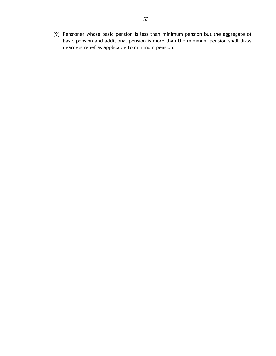(9) Pensioner whose basic pension is less than minimum pension but the aggregate of basic pension and additional pension is more than the minimum pension shall draw dearness relief as applicable to minimum pension.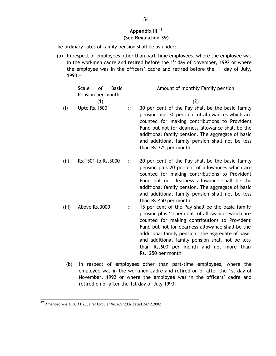# **Appendix III <sup>49</sup> (See Regulation 39)**

The ordinary rates of family pension shall be as under:-

(a) In respect of employees other than part-time employees, where the employee was in the workmen cadre and retired before the  $1<sup>st</sup>$  day of November, 1992 or where the employee was in the officers' cadre and retired before the  $1<sup>st</sup>$  day of July, 1993:-

|       | <b>Scale</b><br>Pension per month | 0f  | <b>Basic</b> |          | Amount of monthly Family pension                                                                                                                                                                                                                                                                                                                                                  |
|-------|-----------------------------------|-----|--------------|----------|-----------------------------------------------------------------------------------------------------------------------------------------------------------------------------------------------------------------------------------------------------------------------------------------------------------------------------------------------------------------------------------|
|       |                                   | (1) |              |          | (2)                                                                                                                                                                                                                                                                                                                                                                               |
| (i)   | <b>Upto Rs.1500</b>               |     |              | $\vdots$ | 30 per cent of the Pay shall be the basic family<br>pension plus 30 per cent of allowances which are<br>counted for making contributions to Provident<br>Fund but not for dearness allowance shall be the<br>additional family pension. The aggregate of basic<br>and additional family pension shall not be less<br>than Rs.375 per month                                        |
| (ii)  | Rs.1501 to Rs.3000                |     |              | $\ddots$ | 20 per cent of the Pay shall be the basic family<br>pension plus 20 percent of allowances which are<br>counted for making contributions to Provident<br>Fund but not dearness allowance shall be the<br>additional family pension. The aggregate of basic<br>and additional family pension shall not be less<br>than Rs.450 per month                                             |
| (iii) | Above Rs.3000                     |     |              | $\vdots$ | 15 per cent of the Pay shall be the basic family<br>pension plus 15 per cent of allowances which are<br>counted for making contributions to Provident<br>Fund but not for dearness allowance shall be the<br>additional family pension. The aggregate of basic<br>and additional family pension shall not be less<br>than Rs.600 per month and not more than<br>Rs.1250 per month |
|       |                                   |     |              |          |                                                                                                                                                                                                                                                                                                                                                                                   |

(b) In respect of employees other than part-time employees, where the employee was in the workmen cadre and retired on or after the 1st day of November, 1992 or where the employee was in the officers' cadre and retired on or after the 1st day of July 1993:-

\_\_\_\_\_\_\_\_\_\_\_\_\_\_\_\_\_\_\_\_\_\_\_\_\_\_\_\_\_\_\_\_\_\_\_\_\_\_

<sup>49</sup> Amended w.e.f. 30.11.2002 ref Circular No.265/2002 dated 24.12.2002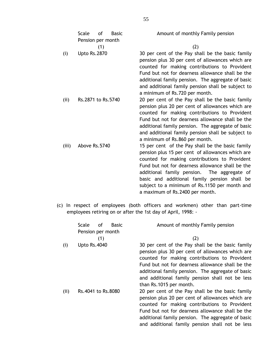|       | Scale<br>Pension per month | of  | <b>Basic</b> | Amount of monthly Family pension                                                                                                                                                                                                                                                                                                                                                             |
|-------|----------------------------|-----|--------------|----------------------------------------------------------------------------------------------------------------------------------------------------------------------------------------------------------------------------------------------------------------------------------------------------------------------------------------------------------------------------------------------|
|       |                            | (1) |              | (2)                                                                                                                                                                                                                                                                                                                                                                                          |
| (i)   | <b>Upto Rs.2870</b>        |     |              | 30 per cent of the Pay shall be the basic family<br>pension plus 30 per cent of allowances which are<br>counted for making contributions to Provident<br>Fund but not for dearness allowance shall be the<br>additional family pension. The aggregate of basic<br>and additional family pension shall be subject to<br>a minimum of Rs.720 per month.                                        |
| (i)   | Rs.2871 to Rs.5740         |     |              | 20 per cent of the Pay shall be the basic family<br>pension plus 20 per cent of allowances which are<br>counted for making contributions to Provident<br>Fund but not for dearness allowance shall be the<br>additional family pension. The aggregate of basic<br>and additional family pension shall be subject to<br>a minimum of Rs.860 per month.                                        |
| (iii) | Above Rs.5740              |     |              | 15 per cent of the Pay shall be the basic family<br>pension plus 15 per cent of allowances which are<br>counted for making contributions to Provident<br>Fund but not for dearness allowance shall be the<br>additional family pension. The aggregate of<br>basic and additional family pension shall be<br>subject to a minimum of Rs.1150 per month and<br>a maximum of Rs.2400 per month. |

(c) In respect of employees (both officers and workmen) other than part-time employees retiring on or after the 1st day of April, 1998: -

|     | Scale               | of  | Basic | Amount of monthly Family pension                                                                                                                                                                                                                                                                                                             |
|-----|---------------------|-----|-------|----------------------------------------------------------------------------------------------------------------------------------------------------------------------------------------------------------------------------------------------------------------------------------------------------------------------------------------------|
|     | Pension per month   | (1) |       | (2)                                                                                                                                                                                                                                                                                                                                          |
| (i) | <b>Upto Rs.4040</b> |     |       | 30 per cent of the Pay shall be the basic family<br>pension plus 30 per cent of allowances which are<br>counted for making contributions to Provident<br>Fund but not for dearness allowance shall be the<br>additional family pension. The aggregate of basic<br>and additional family pension shall not be less<br>than Rs.1015 per month. |
| (i) | Rs.4041 to Rs.8080  |     |       | 20 per cent of the Pay shall be the basic family<br>pension plus 20 per cent of allowances which are<br>counted for making contributions to Provident<br>Fund but not for dearness allowance shall be the<br>additional family pension. The aggregate of basic<br>and additional family pension shall not be less                            |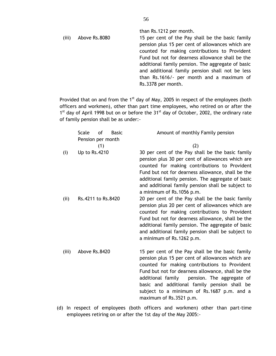than Rs.1212 per month. (iii) Above Rs.8080 15 per cent of the Pay shall be the basic family pension plus 15 per cent of allowances which are counted for making contributions to Provident Fund but not for dearness allowance shall be the additional family pension. The aggregate of basic and additional family pension shall not be less than Rs.1616/- per month and a maximum of Rs.3378 per month.

Provided that on and from the  $1<sup>st</sup>$  day of May, 2005 in respect of the employees (both officers and workmen), other than part time employees, who retired on or after the 1<sup>st</sup> day of April 1998 but on or before the 31<sup>st</sup> day of October, 2002, the ordinary rate of family pension shall be as under:-

|       | οf<br><b>Scale</b><br><b>Basic</b><br>Pension per month | Amount of monthly Family pension                                                                                                                                                                                                                                                                                                                                                      |
|-------|---------------------------------------------------------|---------------------------------------------------------------------------------------------------------------------------------------------------------------------------------------------------------------------------------------------------------------------------------------------------------------------------------------------------------------------------------------|
|       | (1)                                                     | (2)                                                                                                                                                                                                                                                                                                                                                                                   |
| (i)   | Up to Rs.4210                                           | 30 per cent of the Pay shall be the basic family<br>pension plus 30 per cent of allowances which are<br>counted for making contributions to Provident<br>Fund but not for dearness allowance, shall be the<br>additional family pension. The aggregate of basic<br>and additional family pension shall be subject to<br>a minimum of Rs. 1056 p.m.                                    |
| (i)   | Rs.4211 to Rs.8420                                      | 20 per cent of the Pay shall be the basic family<br>pension plus 20 per cent of allowances which are<br>counted for making contributions to Provident<br>Fund but not for dearness allowance, shall be the<br>additional family pension. The aggregate of basic<br>and additional family pension shall be subject to<br>a minimum of Rs. 1262 p.m.                                    |
| (iii) | Above Rs.8420                                           | 15 per cent of the Pay shall be the basic family<br>pension plus 15 per cent of allowances which are<br>counted for making contributions to Provident<br>Fund but not for dearness allowance, shall be the<br>additional family<br>pension. The aggregate of<br>basic and additional family pension shall be<br>subject to a minimum of Rs.1687 p.m. and a<br>maximum of Rs.3521 p.m. |

(d) In respect of employees (both officers and workmen) other than part-time employees retiring on or after the 1st day of the May 2005:-

56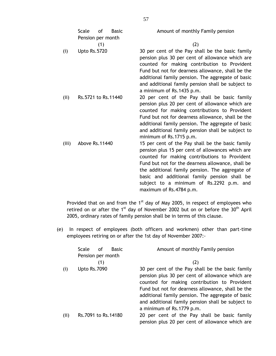|       | <b>Scale</b><br>Pension per month | 0f  | <b>Basic</b> | Amount of monthly Family pension                                                                                                                                                                                                                                                                                                                                                     |
|-------|-----------------------------------|-----|--------------|--------------------------------------------------------------------------------------------------------------------------------------------------------------------------------------------------------------------------------------------------------------------------------------------------------------------------------------------------------------------------------------|
|       |                                   | (1) |              | (2)                                                                                                                                                                                                                                                                                                                                                                                  |
| (i)   | <b>Upto Rs.5720</b>               |     |              | 30 per cent of the Pay shall be the basic family<br>pension plus 30 per cent of allowance which are<br>counted for making contribution to Provident<br>Fund but not for dearness allowance, shall be the<br>additional family pension. The aggregate of basic<br>and additional family pension shall be subject to<br>a minimum of Rs.1435 p.m.                                      |
| (i)   | Rs.5721 to Rs.11440               |     |              | 20 per cent of the Pay shall be basic family<br>pension plus 20 per cent of allowance which are<br>counted for making contributions to Provident<br>Fund but not for dearness allowance, shall be the<br>additional family pension. The aggregate of basic<br>and additional family pension shall be subject to<br>minimum of Rs.1715 p.m.                                           |
| (iii) | Above Rs. 11440                   |     |              | 15 per cent of the Pay shall be the basic family<br>pension plus 15 per cent of allowances which are<br>counted for making contributions to Provident<br>Fund but not for the dearness allowance, shall be<br>the additional family pension. The aggregate of<br>basic and additional family pension shall be<br>subject to a minimum of Rs.2292 p.m. and<br>maximum of Rs.4784 p.m. |

Provided that on and from the  $1<sup>st</sup>$  day of May 2005, in respect of employees who retired on or after the 1<sup>st</sup> day of November 2002 but on or before the  $30<sup>th</sup>$  April 2005, ordinary rates of family pension shall be in terms of this clause.

(e) In respect of employees (both officers and workmen) other than part-time employees retiring on or after the 1st day of November 2007:-

|      | Scale<br>οf         | <b>Basic</b> | Amount of monthly Family pension                  |
|------|---------------------|--------------|---------------------------------------------------|
|      | Pension per month   |              |                                                   |
|      |                     |              | (2)                                               |
| (i)  | <b>Upto Rs.7090</b> |              | 30 per cent of the Pay shall be the basic family  |
|      |                     |              | pension plus 30 per cent of allowance which are   |
|      |                     |              | counted for making contribution to Provident      |
|      |                     |              | Fund but not for dearness allowance, shall be the |
|      |                     |              | additional family pension. The aggregate of basic |
|      |                     |              | and additional family pension shall be subject to |
|      |                     |              | a minimum of Rs.1779 p.m.                         |
| (ii) | Rs.7091 to Rs.14180 |              | 20 per cent of the Pay shall be basic family      |
|      |                     |              | pension plus 20 per cent of allowance which are   |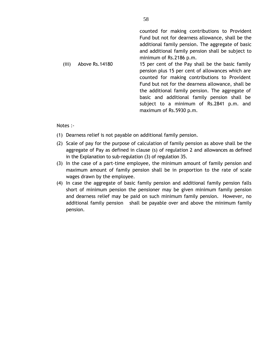|       |                 | counted for making contributions to Provident<br>Fund but not for dearness allowance, shall be the<br>additional family pension. The aggregate of basic<br>and additional family pension shall be subject to<br>minimum of Rs.2186 p.m.                                                                                                                                              |
|-------|-----------------|--------------------------------------------------------------------------------------------------------------------------------------------------------------------------------------------------------------------------------------------------------------------------------------------------------------------------------------------------------------------------------------|
| (iii) | Above Rs. 14180 | 15 per cent of the Pay shall be the basic family<br>pension plus 15 per cent of allowances which are<br>counted for making contributions to Provident<br>Fund but not for the dearness allowance, shall be<br>the additional family pension. The aggregate of<br>basic and additional family pension shall be<br>subject to a minimum of Rs.2841 p.m. and<br>maximum of Rs.5930 p.m. |

Notes :-

- (1) Dearness relief is not payable on additional family pension.
- (2) Scale of pay for the purpose of calculation of family pension as above shall be the aggregate of Pay as defined in clause (s) of regulation 2 and allowances as defined in the Explanation to sub-regulation (3) of regulation 35.
- (3) In the case of a part-time employee, the minimum amount of family pension and maximum amount of family pension shall be in proportion to the rate of scale wages drawn by the employee.
- (4) In case the aggregate of basic family pension and additional family pension falls short of minimum pension the pensioner may be given minimum family pension and dearness relief may be paid on such minimum family pension. However, no additional family pension shall be payable over and above the minimum family pension.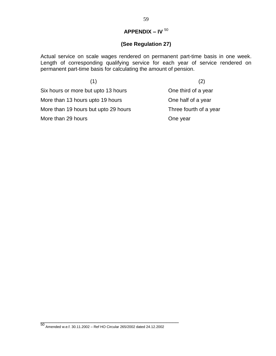# **APPENDIX – IV** <sup>50</sup>

# **(See Regulation 27)**

Actual service on scale wages rendered on permanent part-time basis in one week. Length of corresponding qualifying service for each year of service rendered on permanent part-time basis for calculating the amount of pension.

| (1)                                  | (2)                    |
|--------------------------------------|------------------------|
| Six hours or more but upto 13 hours  | One third of a year    |
| More than 13 hours upto 19 hours     | One half of a year     |
| More than 19 hours but upto 29 hours | Three fourth of a year |
| More than 29 hours                   | One year               |

50 Amended w.e.f. 30.11.2002 – Ref HO Circular 265/2002 dated 24.12.2002

\_\_\_\_\_\_\_\_\_\_\_\_\_\_\_\_\_\_\_\_\_\_\_\_\_\_\_\_\_\_\_\_\_\_\_\_\_\_\_\_\_\_\_\_\_\_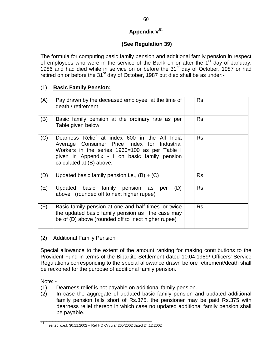# **Appendix V**<sup>51</sup>

# **(See Regulation 39)**

The formula for computing basic family pension and additional family pension in respect of employees who were in the service of the Bank on or after the 1<sup>st</sup> day of January, 1986 and had died while in service on or before the 31<sup>st</sup> day of October, 1987 or had retired on or before the  $31<sup>st</sup>$  day of October, 1987 but died shall be as under:-

# (1) **Basic Family Pension:**

| (A) | Pay drawn by the deceased employee at the time of<br>death / retirement                                                                                                                                                    | Rs. |
|-----|----------------------------------------------------------------------------------------------------------------------------------------------------------------------------------------------------------------------------|-----|
| (B) | Basic family pension at the ordinary rate as per<br>Table given below                                                                                                                                                      | Rs. |
| (C) | Dearness Relief at index 600 in the All India<br>Average Consumer Price Index for Industrial<br>Workers in the series 1960=100 as per Table I<br>given in Appendix - I on basic family pension<br>calculated at (B) above. | Rs. |
| (D) | Updated basic family pension i.e., $(B) + (C)$                                                                                                                                                                             | Rs. |
| (E) | basic family pension as<br>Updated<br>(D)<br>per<br>above (rounded off to next higher rupee)                                                                                                                               | Rs. |
| (F) | Basic family pension at one and half times or twice<br>the updated basic family pension as the case may<br>be of (D) above (rounded off to next higher rupee)                                                              | Rs. |

(2) Additional Family Pension

Special allowance to the extent of the amount ranking for making contributions to the Provident Fund in terms of the Bipartite Settlement dated 10.04.1989/ Officers' Service Regulations corresponding to the special allowance drawn before retirement/death shall be reckoned for the purpose of additional family pension.

Note: -

- (1) Dearness relief is not payable on additional family pension.
- (2) In case the aggregate of updated basic family pension and updated additional family pension falls short of Rs.375, the pensioner may be paid Rs.375 with dearness relief thereon in which case no updated additional family pension shall be payable.

\_\_\_\_\_\_\_\_\_\_\_\_\_\_\_\_\_\_\_\_\_\_\_\_\_\_\_\_\_\_\_\_\_\_\_\_\_

<sup>51</sup> Inserted w.e.f. 30.11.2002 – Ref HO Circular 265/2002 dated 24.12.2002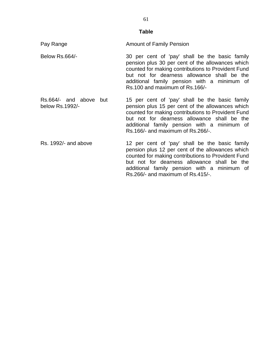#### **Table**

Pay Range **Amount of Family Pension** 

- Below Rs.664/- 30 per cent of 'pay' shall be the basic family pension plus 30 per cent of the allowances which counted for making contributions to Provident Fund but not for dearness allowance shall be the additional family pension with a minimum of Rs.100 and maximum of Rs.166/-
- Rs.664/- and above but below Rs.1992/- 15 per cent of 'pay' shall be the basic family pension plus 15 per cent of the allowances which counted for making contributions to Provident Fund but not for dearness allowance shall be the additional family pension with a minimum of Rs.166/- and maximum of Rs.266/-.
- Rs. 1992/- and above 12 per cent of 'pay' shall be the basic family pension plus 12 per cent of the allowances which counted for making contributions to Provident Fund but not for dearness allowance shall be the additional family pension with a minimum of Rs.266/- and maximum of Rs.415/-.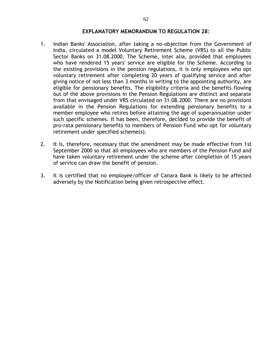#### **EXPLANATORY MEMORANDUM TO REGULATION 28:**

- 1. Indian Banks' Association, after taking a no-objection from the Government of India, circulated a model Voluntary Retirement Scheme (VRS) to all the Public Sector Banks on 31.08.2000. The Scheme, inter alia, provided that employees who have rendered 15 years' service are eligible for the Scheme. According to the existing provisions in the pension regulations, it is only employees who opt voluntary retirement after completing 20 years of qualifying service and after giving notice of not less than 3 months in writing to the appointing authority, are eligible for pensionary benefits. The eligibility criteria and the benefits flowing out of the above provisions in the Pension Regulations are distinct and separate from that envisaged under VRS circulated on 31.08.2000. There are no provisions available in the Pension Regulations for extending pensionary benefits to a member employee who retires before attaining the age of superannuation under such specific schemes. It has been, therefore, decided to provide the benefit of pro-rata pensionary benefits to members of Pension Fund who opt for voluntary retirement under specified scheme(s).
- 2. It is, therefore, necessary that the amendment may be made effective from 1st September 2000 so that all employees who are members of the Pension Fund and have taken voluntary retirement under the scheme after completion of 15 years of service can draw the benefit of pension.
- 3. It is certified that no employee/officer of Canara Bank is likely to be affected adversely by the Notification being given retrospective effect.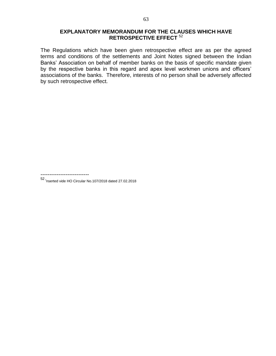# **EXPLANATORY MEMORANDUM FOR THE CLAUSES WHICH HAVE RETROSPECTIVE EFFECT** <sup>52</sup>

The Regulations which have been given retrospective effect are as per the agreed terms and conditions of the settlements and Joint Notes signed between the Indian Banks' Association on behalf of member banks on the basis of specific mandate given by the respective banks in this regard and apex level workmen unions and officers' associations of the banks. Therefore, interests of no person shall be adversely affected by such retrospective effect.

---------------------------

52 Inserted vide HO Circular No.107/2018 dated 27.02.2018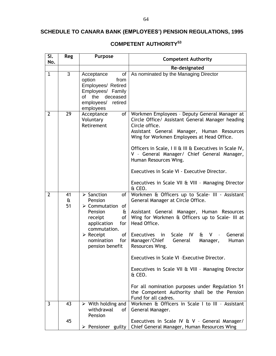# **SCHEDULE TO CANARA BANK (EMPLOYEES') PENSION REGULATIONS, 1995**

| SI.<br>No.     | Reg                      | Purpose                                                                                                                                                                                                                            | <b>Competent Authority</b>                                                                                                                                                                                                                                                                                                                                                                                                                                                                                                                                               |
|----------------|--------------------------|------------------------------------------------------------------------------------------------------------------------------------------------------------------------------------------------------------------------------------|--------------------------------------------------------------------------------------------------------------------------------------------------------------------------------------------------------------------------------------------------------------------------------------------------------------------------------------------------------------------------------------------------------------------------------------------------------------------------------------------------------------------------------------------------------------------------|
|                |                          |                                                                                                                                                                                                                                    | Re-designated                                                                                                                                                                                                                                                                                                                                                                                                                                                                                                                                                            |
| $\mathbf{1}$   | 3                        | of<br>Acceptance<br>option<br>from<br>Employees/ Retired<br>Employees/ Family<br>of the<br>deceased<br>employees/<br>retired<br>employees                                                                                          | As nominated by the Managing Director                                                                                                                                                                                                                                                                                                                                                                                                                                                                                                                                    |
| $\overline{2}$ | 29                       | Acceptance<br>of<br>Voluntary<br>Retirement                                                                                                                                                                                        | Workmen Employees - Deputy General Manager at<br>Circle Office/ Assistant General Manager heading<br>Circle office.<br>Assistant General Manager, Human Resources<br>Wing for Workmen Employees at Head Office.<br>Officers in Scale, I II & III & Executives in Scale IV,<br>V - General Manager/ Chief General Manager,<br>Human Resources Wing.<br>Executives in Scale VI - Executive Director.<br>Executives in Scale VII & VIII - Managing Director<br>& CEO.                                                                                                       |
| $\overline{2}$ | 41<br>$\mathbf{a}$<br>51 | $\triangleright$ Sanction<br>of<br>Pension<br>$\triangleright$ Commutation<br>of<br>Pension<br>&.<br>of<br>receipt<br>application<br>for<br>commutation.<br>of<br>$\triangleright$ Receipt<br>nomination<br>for<br>pension benefit | Workmen & Officers up to Scale- III - Assistant<br>General Manager at Circle Office.<br>Assistant General Manager, Human Resources<br>Wing for Workmen & Officers up to Scale- III at<br>Head Office.<br>Scale<br>Executives in<br>IV I<br>& V<br>General<br>Manager/Chief<br>General<br>Manager,<br>Human<br>Resources Wing.<br>Executives in Scale VI - Executive Director.<br>Executives in Scale VII & VIII - Managing Director<br>& CEO.<br>For all nomination purposes under Regulation 51<br>the Competent Authority shall be the Pension<br>Fund for all cadres. |
| 3              | 43                       | $\triangleright$ With holding and<br>withdrawal<br>of<br>Pension                                                                                                                                                                   | Workmen & Officers in Scale I to III - Assistant<br>General Manager.                                                                                                                                                                                                                                                                                                                                                                                                                                                                                                     |
|                | 45                       |                                                                                                                                                                                                                                    | Executives in Scale IV & V - General Manager/<br>> Pensioner guilty   Chief General Manager, Human Resources Wing                                                                                                                                                                                                                                                                                                                                                                                                                                                        |

# **COMPETENT AUTHORITY<sup>53</sup>**